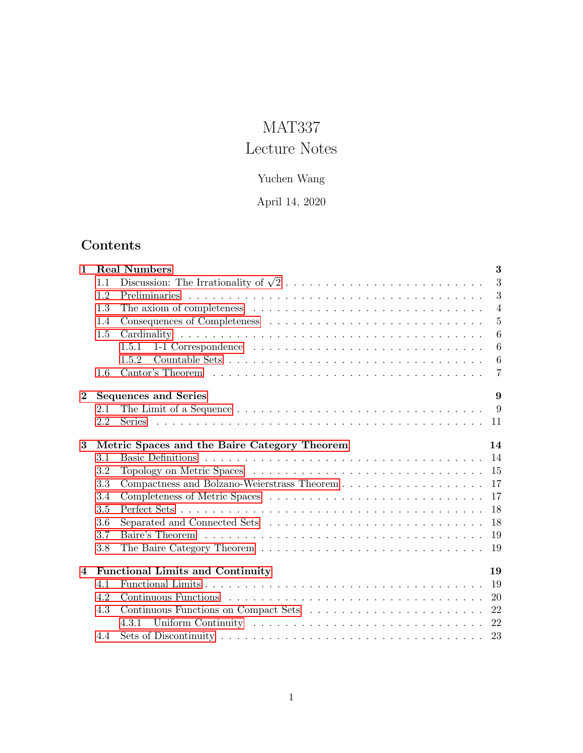# MAT337

# Lecture Notes

## Yuchen Wang

## April 14, 2020

## Contents

| $\mathbf{1}$   | 3<br><b>Real Numbers</b>                           |                                                                                                                        |  |  |  |
|----------------|----------------------------------------------------|------------------------------------------------------------------------------------------------------------------------|--|--|--|
|                | 1.1                                                | 3                                                                                                                      |  |  |  |
|                | 1.2                                                | 3                                                                                                                      |  |  |  |
|                | 1.3                                                | $\overline{4}$                                                                                                         |  |  |  |
|                | 1.4                                                | $\overline{5}$                                                                                                         |  |  |  |
|                | 1.5                                                | $6\phantom{.}6$                                                                                                        |  |  |  |
|                |                                                    | $6\phantom{.}6$<br>1-1 Correspondence $\ldots \ldots \ldots \ldots \ldots \ldots \ldots \ldots \ldots \ldots$<br>1.5.1 |  |  |  |
|                |                                                    | $6\phantom{.}6$<br>1.5.2                                                                                               |  |  |  |
|                | 1.6                                                | $\overline{7}$                                                                                                         |  |  |  |
| $\bf{2}$       | 9<br><b>Sequences and Series</b>                   |                                                                                                                        |  |  |  |
|                | 2.1                                                | - 9                                                                                                                    |  |  |  |
|                | 2.2                                                | -11                                                                                                                    |  |  |  |
| 3              | Metric Spaces and the Baire Category Theorem<br>14 |                                                                                                                        |  |  |  |
|                | 3.1                                                | 14                                                                                                                     |  |  |  |
|                | 3.2                                                | 15                                                                                                                     |  |  |  |
|                | 3.3                                                | 17                                                                                                                     |  |  |  |
|                | 3.4                                                | 17                                                                                                                     |  |  |  |
|                | 3.5                                                | 18                                                                                                                     |  |  |  |
|                | 3.6                                                | 18                                                                                                                     |  |  |  |
|                | 3.7                                                | 19                                                                                                                     |  |  |  |
|                | 3.8                                                | 19                                                                                                                     |  |  |  |
| $\overline{4}$ | <b>Functional Limits and Continuity</b>            |                                                                                                                        |  |  |  |
|                | 4.1                                                | 19                                                                                                                     |  |  |  |
|                | 4.2                                                | 20                                                                                                                     |  |  |  |
|                | 4.3                                                | 22                                                                                                                     |  |  |  |
|                |                                                    | 22<br>4.3.1                                                                                                            |  |  |  |
|                | 4.4                                                | 23                                                                                                                     |  |  |  |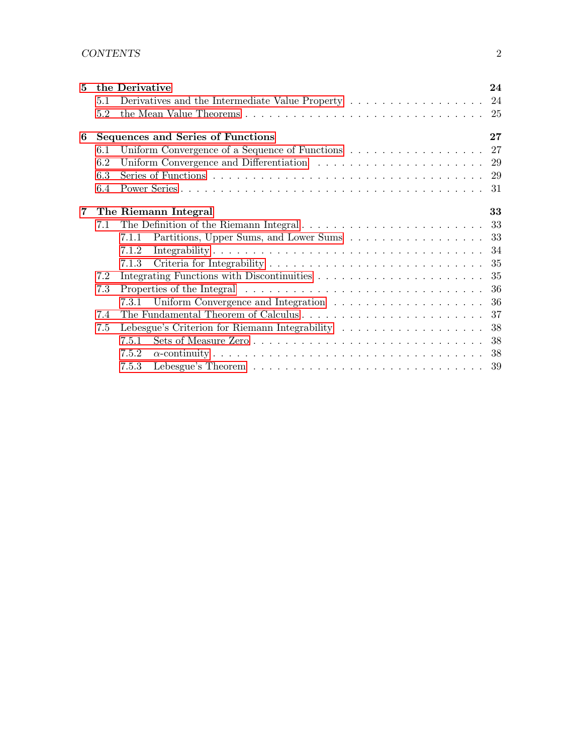| 5          |     | the Derivative                                                                                   | 24 |
|------------|-----|--------------------------------------------------------------------------------------------------|----|
|            | 5.1 | Derivatives and the Intermediate Value Property 24                                               |    |
|            | 5.2 |                                                                                                  |    |
| 6          |     | Sequences and Series of Functions                                                                | 27 |
|            | 6.1 | Uniform Convergence of a Sequence of Functions $\ldots \ldots \ldots \ldots \ldots \ldots 27$    |    |
|            | 6.2 |                                                                                                  |    |
|            | 6.3 |                                                                                                  |    |
|            | 6.4 |                                                                                                  |    |
| $7\degree$ |     | The Riemann Integral                                                                             | 33 |
|            | 7.1 |                                                                                                  |    |
|            |     | Partitions, Upper Sums, and Lower Sums 33<br>7.1.1                                               |    |
|            |     | 7.1.2                                                                                            |    |
|            |     | 7.1.3                                                                                            |    |
|            | 7.2 |                                                                                                  |    |
|            | 7.3 |                                                                                                  |    |
|            |     |                                                                                                  |    |
|            | 7.4 | The Fundamental Theorem of Calculus $\ldots \ldots \ldots \ldots \ldots \ldots \ldots \ldots 37$ |    |
|            | 7.5 | Lebesgue's Criterion for Riemann Integrability 38                                                |    |
|            |     | 7.5.1                                                                                            |    |
|            |     | 7.5.2                                                                                            |    |
|            |     | 7.5.3                                                                                            |    |
|            |     |                                                                                                  |    |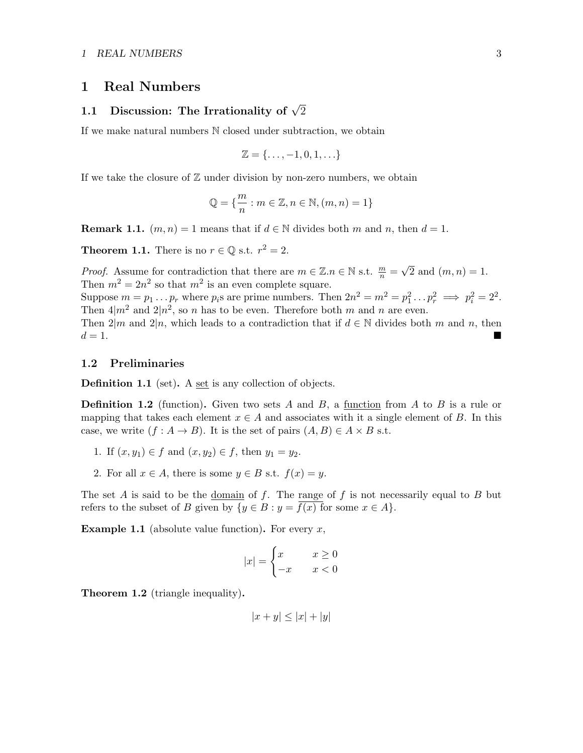## <span id="page-2-0"></span>1 Real Numbers

# <span id="page-2-1"></span>1.1 Discussion: The Irrationality of  $\sqrt{2}$

If we make natural numbers N closed under subtraction, we obtain

$$
\mathbb{Z} = \{\ldots, -1, 0, 1, \ldots\}
$$

If we take the closure of  $\mathbb Z$  under division by non-zero numbers, we obtain

$$
\mathbb{Q} = \{ \frac{m}{n} : m \in \mathbb{Z}, n \in \mathbb{N}, (m, n) = 1 \}
$$

**Remark 1.1.**  $(m, n) = 1$  means that if  $d \in \mathbb{N}$  divides both m and n, then  $d = 1$ .

**Theorem 1.1.** There is no  $r \in \mathbb{Q}$  s.t.  $r^2 = 2$ .

*Proof.* Assume for contradiction that there are  $m \in \mathbb{Z} \cdot n \in \mathbb{N}$  s.t.  $\frac{m}{n} =$ √ 2 and  $(m, n) = 1$ . Then  $m^2 = 2n^2$  so that  $m^2$  is an even complete square.

Suppose  $m = p_1 \dots p_r$  where  $p_i$ s are prime numbers. Then  $2n^2 = m^2 = p_1^2 \dots p_r^2 \implies p_i^2 = 2^2$ . Then  $4|m^2$  and  $2|n^2$ , so n has to be even. Therefore both m and n are even.

Then  $2|m$  and  $2|n$ , which leads to a contradiction that if  $d \in \mathbb{N}$  divides both m and n, then  $d=1$ .

#### <span id="page-2-2"></span>1.2 Preliminaries

Definition 1.1 (set). A set is any collection of objects.

**Definition 1.2** (function). Given two sets A and B, a function from A to B is a rule or mapping that takes each element  $x \in A$  and associates with it a single element of B. In this case, we write  $(f : A \to B)$ . It is the set of pairs  $(A, B) \in A \times B$  s.t.

- 1. If  $(x, y_1) \in f$  and  $(x, y_2) \in f$ , then  $y_1 = y_2$ .
- 2. For all  $x \in A$ , there is some  $y \in B$  s.t.  $f(x) = y$ .

The set A is said to be the <u>domain</u> of  $f$ . The range of  $f$  is not necessarily equal to  $B$  but refers to the subset of B given by  $\{y \in B : y = \overline{f(x)} \text{ for some } x \in A\}.$ 

**Example 1.1** (absolute value function). For every  $x$ ,

$$
|x| = \begin{cases} x & x \ge 0 \\ -x & x < 0 \end{cases}
$$

Theorem 1.2 (triangle inequality).

$$
|x+y| \le |x| + |y|
$$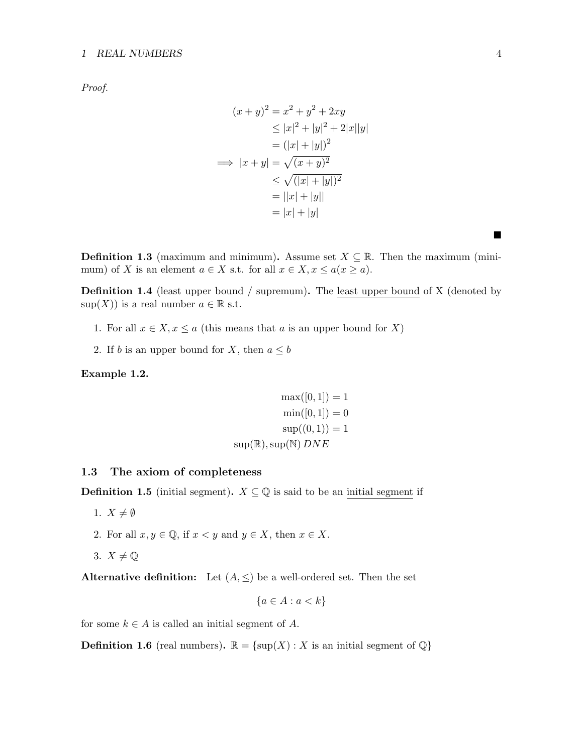#### 1 REAL NUMBERS 4

Proof.

$$
(x + y)^2 = x^2 + y^2 + 2xy
$$
  
\n
$$
\le |x|^2 + |y|^2 + 2|x||y|
$$
  
\n
$$
= (|x| + |y|)^2
$$
  
\n
$$
\implies |x + y| = \sqrt{(x + y)^2}
$$
  
\n
$$
\le \sqrt{(|x| + |y|)^2}
$$
  
\n
$$
= |x| + |y|
$$
  
\n
$$
= |x| + |y|
$$

**Definition 1.3** (maximum and minimum). Assume set  $X \subseteq \mathbb{R}$ . Then the maximum (minimum) of X is an element  $a \in X$  s.t. for all  $x \in X, x \leq a(x \geq a)$ .

**Definition 1.4** (least upper bound / supremum). The least upper bound of X (denoted by  $\text{sup}(X)$  is a real number  $a \in \mathbb{R}$  s.t.

- 1. For all  $x \in X, x \le a$  (this means that a is an upper bound for X)
- 2. If b is an upper bound for X, then  $a \leq b$

Example 1.2.

$$
\max([0, 1]) = 1
$$

$$
\min([0, 1]) = 0
$$

$$
\sup((0, 1)) = 1
$$

$$
\sup(\mathbb{R}), \sup(\mathbb{N}) \, DNE
$$

#### <span id="page-3-0"></span>1.3 The axiom of completeness

**Definition 1.5** (initial segment).  $X \subseteq \mathbb{Q}$  is said to be an initial segment if

- 1.  $X \neq \emptyset$
- 2. For all  $x, y \in \mathbb{Q}$ , if  $x \leq y$  and  $y \in X$ , then  $x \in X$ .
- 3.  $X \neq \mathbb{Q}$

Alternative definition: Let  $(A, \leq)$  be a well-ordered set. Then the set

$$
\{a \in A : a < k\}
$$

for some  $k \in A$  is called an initial segment of A.

**Definition 1.6** (real numbers).  $\mathbb{R} = {\text{sup}}(X) : X$  is an initial segment of  $\mathbb{Q}$ }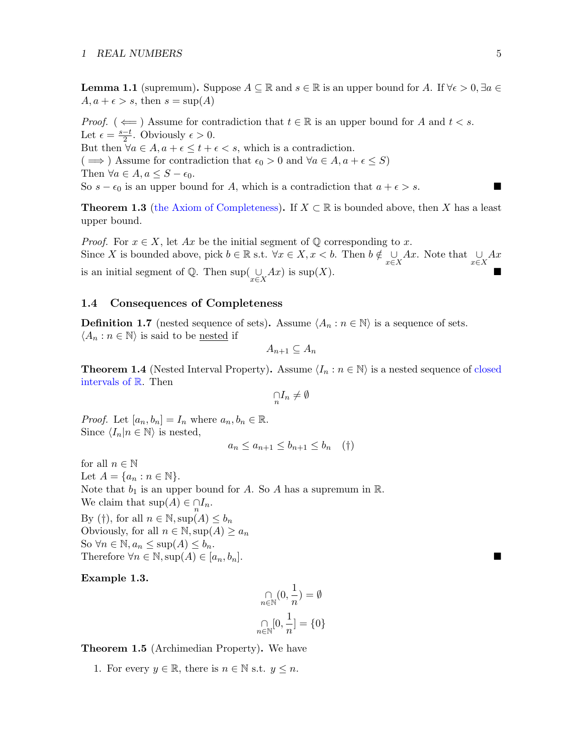**Lemma 1.1** (supremum). Suppose  $A \subseteq \mathbb{R}$  and  $s \in \mathbb{R}$  is an upper bound for A. If  $\forall \epsilon > 0$ ,  $\exists a \in \mathbb{R}$  $A, a + \epsilon > s$ , then  $s = \sup(A)$ 

*Proof.* ( $\Leftarrow$ ) Assume for contradiction that  $t \in \mathbb{R}$  is an upper bound for A and  $t < s$ . Let  $\epsilon = \frac{s-t}{2}$  $\frac{-t}{2}$ . Obviously  $\epsilon > 0$ . But then  $\forall a \in A, a + \epsilon \leq t + \epsilon < s$ , which is a contradiction.  $(\implies)$  Assume for contradiction that  $\epsilon_0 > 0$  and  $\forall a \in A, a + \epsilon \leq S$ Then  $\forall a \in A, a \leq S - \epsilon_0$ . So  $s - \epsilon_0$  is an upper bound for A, which is a contradiction that  $a + \epsilon > s$ .

**Theorem 1.3** (the Axiom of Completeness). If  $X \subset \mathbb{R}$  is bounded above, then X has a least upper bound.

*Proof.* For  $x \in X$ , let  $Ax$  be the initial segment of  $\mathbb Q$  corresponding to x. Since X is bounded above, pick  $b \in \mathbb{R}$  s.t.  $\forall x \in X, x < b$ . Then  $b \notin \bigcup_{x \in X} Ax$ . Note that  $\bigcup_{x \in X} Ax$ is an initial segment of  $\mathbb{Q}$ . Then sup $\left(\bigcup_{x \in X} Ax\right)$  is sup $(X)$ .

#### <span id="page-4-0"></span>1.4 Consequences of Completeness

**Definition 1.7** (nested sequence of sets). Assume  $\langle A_n : n \in \mathbb{N} \rangle$  is a sequence of sets.  $\langle A_n : n \in \mathbb{N} \rangle$  is said to be <u>nested</u> if

$$
A_{n+1} \subseteq A_n
$$

**Theorem 1.4** (Nested Interval Property). Assume  $\langle I_n : n \in \mathbb{N} \rangle$  is a nested sequence of closed intervals of R. Then

$$
\mathop{\cap}\limits_n I_n\neq\emptyset
$$

*Proof.* Let  $[a_n, b_n] = I_n$  where  $a_n, b_n \in \mathbb{R}$ . Since  $\langle I_n|n \in \mathbb{N} \rangle$  is nested,

$$
a_n \le a_{n+1} \le b_{n+1} \le b_n \quad (\dagger)
$$

for all  $n \in \mathbb{N}$ Let  $A = \{a_n : n \in \mathbb{N}\}.$ Note that  $b_1$  is an upper bound for A. So A has a supremum in R. We claim that  $\sup(A) \in \bigcap_{n} I_n$ . By (†), for all  $n \in \mathbb{N}$ ,  $\sup(A) \leq b_n$ Obviously, for all  $n \in \mathbb{N}$ ,  $\sup(A) \ge a_n$ So  $\forall n \in \mathbb{N}, a_n \leq \sup(A) \leq b_n$ . Therefore  $\forall n \in \mathbb{N}$ , sup $(A) \in [a_n, b_n]$ .

Example 1.3.

$$
\underset{n\in\mathbb{N}}{\cap}(0,\frac{1}{n})=\emptyset
$$

Theorem 1.5 (Archimedian Property). We have

1. For every  $y \in \mathbb{R}$ , there is  $n \in \mathbb{N}$  s.t.  $y \leq n$ .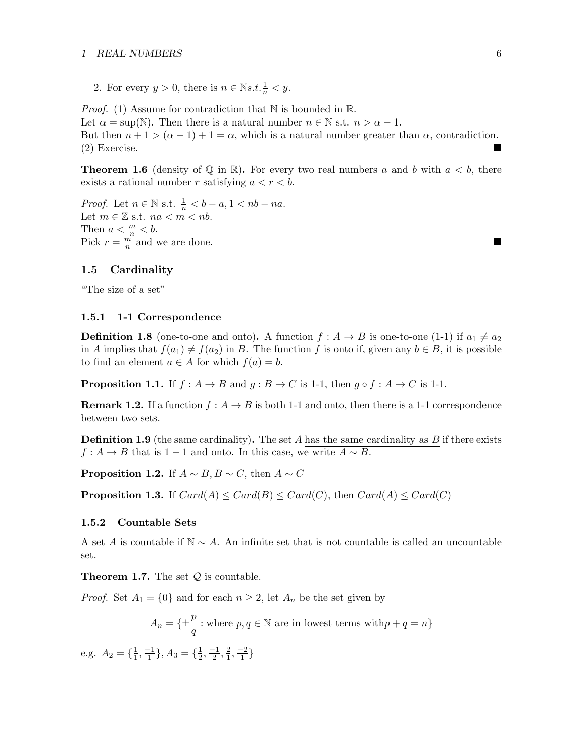#### 1 REAL NUMBERS 6

2. For every  $y > 0$ , there is  $n \in \mathbb{N} s.t. \frac{1}{n} < y$ .

*Proof.* (1) Assume for contradiction that  $\mathbb N$  is bounded in  $\mathbb R$ . Let  $\alpha = \sup(\mathbb{N})$ . Then there is a natural number  $n \in \mathbb{N}$  s.t.  $n > \alpha - 1$ . But then  $n + 1 > (\alpha - 1) + 1 = \alpha$ , which is a natural number greater than  $\alpha$ , contradiction. (2) Exercise.

**Theorem 1.6** (density of  $\mathbb Q$  in  $\mathbb R$ ). For every two real numbers a and b with  $a < b$ , there exists a rational number r satisfying  $a < r < b$ .

*Proof.* Let  $n \in \mathbb{N}$  s.t.  $\frac{1}{n} < b - a, 1 < nb - na$ . Let  $m \in \mathbb{Z}$  s.t.  $na < m < nb$ . Then  $a < \frac{m}{n} < b$ . Pick  $r = \frac{m}{n}$  $\frac{m}{n}$  and we are done.

#### <span id="page-5-0"></span>1.5 Cardinality

"The size of a set"

#### <span id="page-5-1"></span>1.5.1 1-1 Correspondence

**Definition 1.8** (one-to-one and onto). A function  $f : A \rightarrow B$  is one-to-one (1-1) if  $a_1 \neq a_2$ in A implies that  $f(a_1) \neq f(a_2)$  in B. The function f is <u>onto</u> if, given any  $b \in B$ , it is possible to find an element  $a \in A$  for which  $f(a) = b$ .

**Proposition 1.1.** If  $f : A \rightarrow B$  and  $g : B \rightarrow C$  is 1-1, then  $g \circ f : A \rightarrow C$  is 1-1.

**Remark 1.2.** If a function  $f : A \to B$  is both 1-1 and onto, then there is a 1-1 correspondence between two sets.

**Definition 1.9** (the same cardinality). The set A has the same cardinality as  $B$  if there exists  $f: A \to B$  that is 1 − 1 and onto. In this case, we write  $A \sim B$ .

**Proposition 1.2.** If  $A \sim B, B \sim C$ , then  $A \sim C$ 

**Proposition 1.3.** If  $Card(A) \leq Card(B) \leq Card(C)$ , then  $Card(A) \leq Card(C)$ 

#### <span id="page-5-2"></span>1.5.2 Countable Sets

A set A is countable if  $\mathbb{N} \sim A$ . An infinite set that is not countable is called an uncountable set.

**Theorem 1.7.** The set  $Q$  is countable.

*Proof.* Set  $A_1 = \{0\}$  and for each  $n \geq 2$ , let  $A_n$  be the set given by

$$
A_n = \{ \pm \frac{p}{q} : \text{where } p, q \in \mathbb{N} \text{ are in lowest terms with } p + q = n \}
$$

e.g.  $A_2 = \{\frac{1}{1}$  $\frac{1}{1}, \frac{-1}{1}$  $\{\frac{-1}{1}\}, A_3 = \{\frac{1}{2}\}$  $\frac{1}{2}, \frac{-1}{2}$  $\frac{-1}{2}, \frac{2}{1}$  $\frac{2}{1}, \frac{-2}{1}$  $\frac{-2}{1}$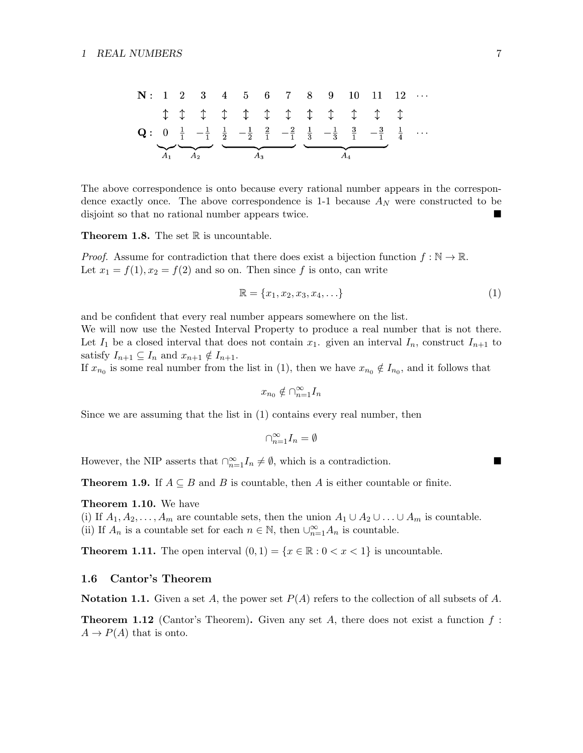| $N: 1$         | 2          | 3          | 4          | 5          | 6          | 7          | 8          | 9          | 10         | 11         | 12         | ...        |            |            |            |            |            |            |            |            |            |            |            |            |            |            |            |            |            |            |            |            |            |            |            |            |            |            |            |            |            |            |            |            |            |            |            |            |            |            |            |            |            |
|----------------|------------|------------|------------|------------|------------|------------|------------|------------|------------|------------|------------|------------|------------|------------|------------|------------|------------|------------|------------|------------|------------|------------|------------|------------|------------|------------|------------|------------|------------|------------|------------|------------|------------|------------|------------|------------|------------|------------|------------|------------|------------|------------|------------|------------|------------|------------|------------|------------|------------|------------|------------|------------|------------|
| $\updownarrow$ | $\uparrow$ | $\uparrow$ | $\uparrow$ | $\uparrow$ | $\uparrow$ | $\uparrow$ | $\uparrow$ | $\uparrow$ | $\uparrow$ | $\uparrow$ | $\uparrow$ | $\uparrow$ | $\uparrow$ | $\uparrow$ | $\uparrow$ | $\uparrow$ | $\uparrow$ | $\uparrow$ | $\uparrow$ | $\uparrow$ | $\uparrow$ | $\uparrow$ | $\uparrow$ | $\uparrow$ | $\uparrow$ | $\uparrow$ | $\uparrow$ | $\uparrow$ | $\uparrow$ | $\uparrow$ | $\uparrow$ | $\uparrow$ | $\uparrow$ | $\uparrow$ | $\uparrow$ | $\uparrow$ | $\uparrow$ | $\uparrow$ | $\uparrow$ | $\uparrow$ | $\uparrow$ | $\uparrow$ | $\uparrow$ | $\uparrow$ | $\uparrow$ | $\uparrow$ | $\uparrow$ | $\uparrow$ | $\uparrow$ | $\uparrow$ | $\uparrow$ | $\uparrow$ | $\uparrow$ |

The above correspondence is onto because every rational number appears in the correspondence exactly once. The above correspondence is 1-1 because  $A_N$  were constructed to be disjoint so that no rational number appears twice.

**Theorem 1.8.** The set  $\mathbb R$  is uncountable.

*Proof.* Assume for contradiction that there does exist a bijection function  $f : \mathbb{N} \to \mathbb{R}$ . Let  $x_1 = f(1), x_2 = f(2)$  and so on. Then since f is onto, can write

$$
\mathbb{R} = \{x_1, x_2, x_3, x_4, \ldots\}
$$
 (1)

and be confident that every real number appears somewhere on the list.

We will now use the Nested Interval Property to produce a real number that is not there. Let  $I_1$  be a closed interval that does not contain  $x_1$ , given an interval  $I_n$ , construct  $I_{n+1}$  to satisfy  $I_{n+1} \subseteq I_n$  and  $x_{n+1} \notin I_{n+1}$ .

If  $x_{n_0}$  is some real number from the list in (1), then we have  $x_{n_0} \notin I_{n_0}$ , and it follows that

$$
x_{n_0}\notin \cap_{n=1}^\infty I_n
$$

Since we are assuming that the list in (1) contains every real number, then

$$
\cap_{n=1}^\infty I_n=\emptyset
$$

However, the NIP asserts that  $\bigcap_{n=1}^{\infty} I_n \neq \emptyset$ , which is a contradiction.

**Theorem 1.9.** If  $A \subseteq B$  and B is countable, then A is either countable or finite.

#### Theorem 1.10. We have

(i) If  $A_1, A_2, \ldots, A_m$  are countable sets, then the union  $A_1 \cup A_2 \cup \ldots \cup A_m$  is countable. (ii) If  $A_n$  is a countable set for each  $n \in \mathbb{N}$ , then  $\bigcup_{n=1}^{\infty} A_n$  is countable.

**Theorem 1.11.** The open interval  $(0, 1) = \{x \in \mathbb{R} : 0 < x < 1\}$  is uncountable.

#### <span id="page-6-0"></span>1.6 Cantor's Theorem

Notation 1.1. Given a set A, the power set  $P(A)$  refers to the collection of all subsets of A.

**Theorem 1.12** (Cantor's Theorem). Given any set A, there does not exist a function  $f$ :  $A \to P(A)$  that is onto.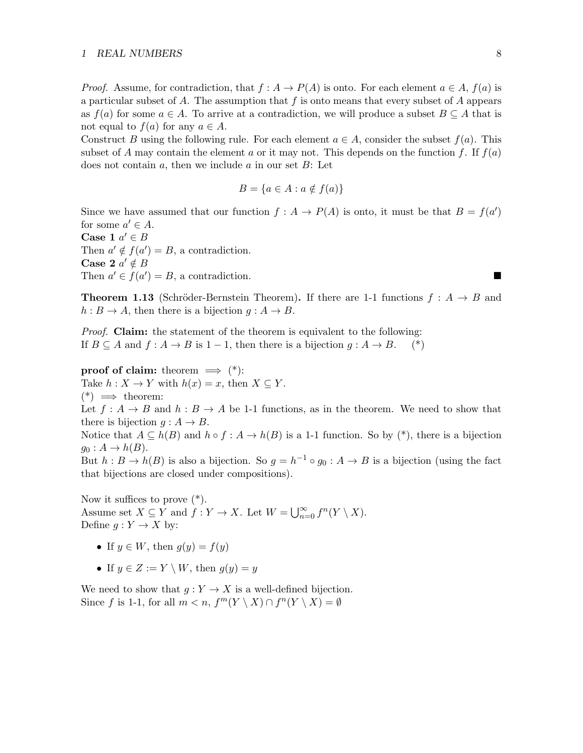#### 1 REAL NUMBERS 8

*Proof.* Assume, for contradiction, that  $f : A \to P(A)$  is onto. For each element  $a \in A$ ,  $f(a)$  is a particular subset of A. The assumption that f is onto means that every subset of A appears as  $f(a)$  for some  $a \in A$ . To arrive at a contradiction, we will produce a subset  $B \subseteq A$  that is not equal to  $f(a)$  for any  $a \in A$ .

Construct B using the following rule. For each element  $a \in A$ , consider the subset  $f(a)$ . This subset of A may contain the element a or it may not. This depends on the function f. If  $f(a)$ does not contain a, then we include a in our set  $B$ : Let

$$
B = \{a \in A : a \notin f(a)\}\
$$

Since we have assumed that our function  $f : A \to P(A)$  is onto, it must be that  $B = f(a')$ for some  $a' \in A$ .

Case 1  $a' \in B$ Then  $a' \notin f(a') = B$ , a contradiction. Case 2  $a' \notin B$ Then  $a' \in f(a') = B$ , a contradiction.

**Theorem 1.13** (Schröder-Bernstein Theorem). If there are 1-1 functions  $f : A \rightarrow B$  and  $h : B \to A$ , then there is a bijection  $q : A \to B$ .

*Proof.* Claim: the statement of the theorem is equivalent to the following: If  $B \subseteq A$  and  $f : A \to B$  is  $1 - 1$ , then there is a bijection  $g : A \to B$ . (\*)

**proof of claim:** theorem  $\implies$  (\*): Take  $h: X \to Y$  with  $h(x) = x$ , then  $X \subseteq Y$ .  $(*) \implies$  theorem:

Let  $f: A \to B$  and  $h: B \to A$  be 1-1 functions, as in the theorem. We need to show that there is bijection  $g : A \to B$ .

Notice that  $A \subseteq h(B)$  and  $h \circ f : A \to h(B)$  is a 1-1 function. So by  $(*)$ , there is a bijection  $g_0: A \to h(B).$ 

But  $h: B \to h(B)$  is also a bijection. So  $g = h^{-1} \circ g_0 : A \to B$  is a bijection (using the fact that bijections are closed under compositions).

Now it suffices to prove (\*). Assume set  $X \subseteq Y$  and  $f: Y \to X$ . Let  $W = \bigcup_{n=0}^{\infty} f^n(Y \setminus X)$ . Define  $g: Y \to X$  by:

- If  $y \in W$ , then  $g(y) = f(y)$
- If  $y \in Z := Y \setminus W$ , then  $g(y) = y$

We need to show that  $g: Y \to X$  is a well-defined bijection. Since f is 1-1, for all  $m < n$ ,  $f^m(Y \setminus X) \cap f^n(Y \setminus X) = \emptyset$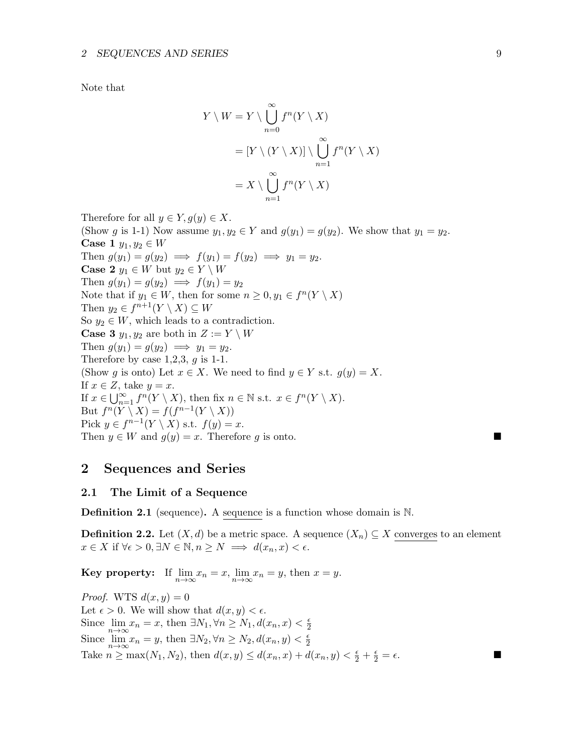Note that

$$
Y \setminus W = Y \setminus \bigcup_{n=0}^{\infty} f^n(Y \setminus X)
$$
  
=  $[Y \setminus (Y \setminus X)] \setminus \bigcup_{n=1}^{\infty} f^n(Y \setminus X)$   
=  $X \setminus \bigcup_{n=1}^{\infty} f^n(Y \setminus X)$ 

Therefore for all  $y \in Y, g(y) \in X$ . (Show g is 1-1) Now assume  $y_1, y_2 \in Y$  and  $g(y_1) = g(y_2)$ . We show that  $y_1 = y_2$ . Case 1  $y_1, y_2 \in W$ Then  $g(y_1) = g(y_2) \implies f(y_1) = f(y_2) \implies y_1 = y_2$ . **Case 2**  $y_1 \in W$  but  $y_2 \in Y \setminus W$ Then  $g(y_1) = g(y_2) \implies f(y_1) = y_2$ Note that if  $y_1 \in W$ , then for some  $n \geq 0, y_1 \in f^n(Y \setminus X)$ Then  $y_2 \in f^{n+1}(Y \setminus X) \subseteq W$ So  $y_2 \in W$ , which leads to a contradiction. **Case 3**  $y_1, y_2$  are both in  $Z := Y \setminus W$ Then  $g(y_1) = g(y_2) \implies y_1 = y_2$ . Therefore by case  $1,2,3, g$  is 1-1. (Show g is onto) Let  $x \in X$ . We need to find  $y \in Y$  s.t.  $g(y) = X$ . If  $x \in Z$ , take  $y = x$ . If  $x \in \bigcup_{n=1}^{\infty} f^n(Y \setminus X)$ , then fix  $n \in \mathbb{N}$  s.t.  $x \in f^n(Y \setminus X)$ . But  $f^n(Y \setminus X) = f(f^{n-1}(Y \setminus X))$ Pick  $y \in f^{n-1}(Y \setminus X)$  s.t.  $f(y) = x$ . Then  $y \in W$  and  $g(y) = x$ . Therefore g is onto.

## <span id="page-8-0"></span>2 Sequences and Series

#### <span id="page-8-1"></span>2.1 The Limit of a Sequence

Definition 2.1 (sequence). A sequence is a function whose domain is N.

**Definition 2.2.** Let  $(X, d)$  be a metric space. A sequence  $(X_n) \subseteq X$  converges to an element  $x \in X$  if  $\forall \epsilon > 0, \exists N \in \mathbb{N}, n \geq N \implies d(x_n, x) < \epsilon.$ 

**Key property:** If  $\lim_{n \to \infty} x_n = x$ ,  $\lim_{n \to \infty} x_n = y$ , then  $x = y$ .

*Proof.* WTS  $d(x, y) = 0$ Let  $\epsilon > 0$ . We will show that  $d(x, y) < \epsilon$ . Since  $\lim_{n \to \infty} x_n = x$ , then  $\exists N_1, \forall n \ge N_1, d(x_n, x) < \frac{\epsilon}{2}$ 2 Since  $\lim_{n \to \infty} x_n = y$ , then  $\exists N_2, \forall n \ge N_2, d(x_n, y) < \frac{\epsilon}{2}$  $\overline{2}$ Take  $n \ge \max(N_1, N_2)$ , then  $d(x, y) \le d(x_n, x) + d(x_n, y) < \frac{\epsilon}{2} + \frac{\epsilon}{2} = \epsilon$ .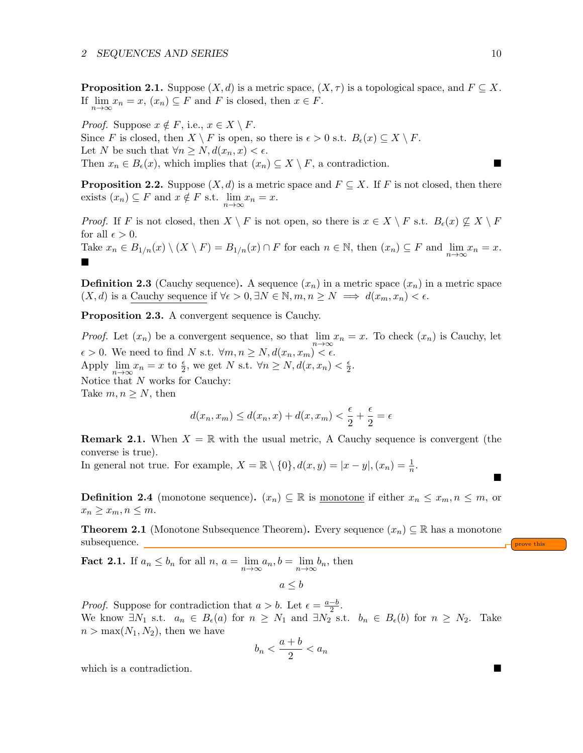**Proposition 2.1.** Suppose  $(X, d)$  is a metric space,  $(X, \tau)$  is a topological space, and  $F \subseteq X$ . If  $\lim_{n \to \infty} x_n = x$ ,  $(x_n) \subseteq F$  and F is closed, then  $x \in F$ .

*Proof.* Suppose  $x \notin F$ , i.e.,  $x \in X \setminus F$ . Since F is closed, then  $X \setminus F$  is open, so there is  $\epsilon > 0$  s.t.  $B_{\epsilon}(x) \subseteq X \setminus F$ . Let N be such that  $\forall n \geq N, d(x_n, x) < \epsilon$ . Then  $x_n \in B_{\epsilon}(x)$ , which implies that  $(x_n) \subseteq X \setminus F$ , a contradiction.

**Proposition 2.2.** Suppose  $(X, d)$  is a metric space and  $F \subseteq X$ . If F is not closed, then there exists  $(x_n) \subseteq F$  and  $x \notin F$  s.t.  $\lim_{n \to \infty} x_n = x$ .

*Proof.* If F is not closed, then  $X \setminus F$  is not open, so there is  $x \in X \setminus F$  s.t.  $B_{\epsilon}(x) \not\subseteq X \setminus F$ for all  $\epsilon > 0$ .

Take  $x_n \in B_{1/n}(x) \setminus (X \setminus F) = B_{1/n}(x) \cap F$  for each  $n \in \mathbb{N}$ , then  $(x_n) \subseteq F$  and  $\lim_{n \to \infty} x_n = x$ .  $\blacksquare$ 

**Definition 2.3** (Cauchy sequence). A sequence  $(x_n)$  in a metric space  $(x_n)$  in a metric space  $(X, d)$  is a Cauchy sequence if  $\forall \epsilon > 0, \exists N \in \mathbb{N}, m, n \geq N \implies d(x_m, x_n) < \epsilon$ .

Proposition 2.3. A convergent sequence is Cauchy.

*Proof.* Let  $(x_n)$  be a convergent sequence, so that  $\lim_{n\to\infty} x_n = x$ . To check  $(x_n)$  is Cauchy, let  $\epsilon > 0$ . We need to find N s.t.  $\forall m, n \ge N, d(x_n, x_m) < \epsilon$ . Apply  $\lim_{n \to \infty} x_n = x$  to  $\frac{\epsilon}{2}$ , we get N s.t.  $\forall n \ge N, d(x, x_n) < \frac{\epsilon}{2}$  $\frac{\epsilon}{2}$ . Notice that N works for Cauchy: Take  $m, n \geq N$ , then

$$
d(x_n, x_m) \le d(x_n, x) + d(x, x_m) < \frac{\epsilon}{2} + \frac{\epsilon}{2} = \epsilon
$$

**Remark 2.1.** When  $X = \mathbb{R}$  with the usual metric, A Cauchy sequence is convergent (the converse is true).

In general not true. For example,  $X = \mathbb{R} \setminus \{0\}$ ,  $d(x, y) = |x - y|$ ,  $(x_n) = \frac{1}{n}$ .

**Definition 2.4** (monotone sequence).  $(x_n) \subseteq \mathbb{R}$  is monotone if either  $x_n \leq x_m, n \leq m$ , or  $x_n \geq x_m, n \leq m.$ 

**Theorem 2.1** (Monotone Subsequence Theorem). Every sequence  $(x_n) \subseteq \mathbb{R}$  has a monotone subsequence.

**Fact 2.1.** If  $a_n \leq b_n$  for all  $n, a = \lim_{n \to \infty} a_n, b = \lim_{n \to \infty} b_n$ , then

$$
a \leq b
$$

*Proof.* Suppose for contradiction that  $a > b$ . Let  $\epsilon = \frac{a-b}{2}$  $\frac{-b}{2}$ . We know  $\exists N_1$  s.t.  $a_n \in B_{\epsilon}(a)$  for  $n \geq N_1$  and  $\exists N_2$  s.t.  $b_n \in B_{\epsilon}(b)$  for  $n \geq N_2$ . Take  $n > \max(N_1, N_2)$ , then we have

$$
b_n < \frac{a+b}{2} < a_n
$$

which is a contradiction.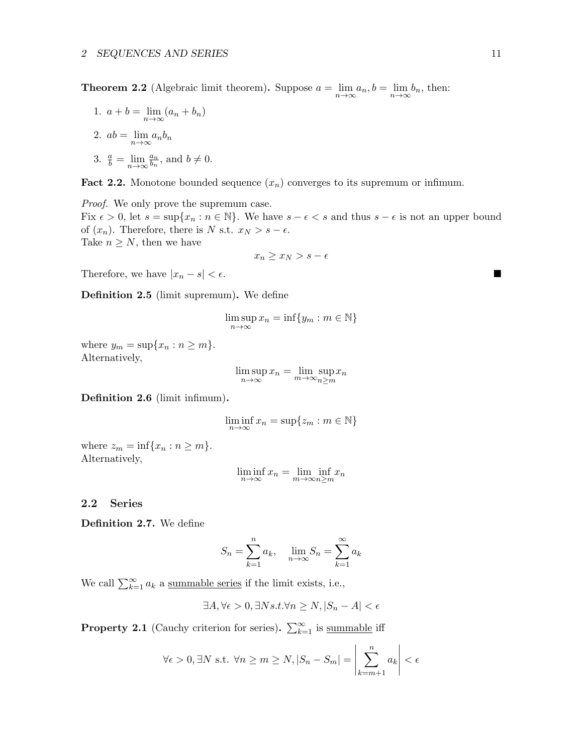**Theorem 2.2** (Algebraic limit theorem). Suppose  $a = \lim_{n \to \infty} a_n, b = \lim_{n \to \infty} b_n$ , then:

1.  $a + b = \lim_{n \to \infty} (a_n + b_n)$ 2.  $ab = \lim_{n \to \infty} a_n b_n$ 3.  $\frac{a}{b} = \lim_{n \to \infty} \frac{a_n}{b_n}$  $\frac{a_n}{b_n}$ , and  $b \neq 0$ .

**Fact 2.2.** Monotone bounded sequence  $(x_n)$  converges to its supremum or infimum.

Proof. We only prove the supremum case.

Fix  $\epsilon > 0$ , let  $s = \sup\{x_n : n \in \mathbb{N}\}\$ . We have  $s - \epsilon < s$  and thus  $s - \epsilon$  is not an upper bound of  $(x_n)$ . Therefore, there is N s.t.  $x_N > s - \epsilon$ . Take  $n \geq N$ , then we have

$$
x_n \ge x_N > s - \epsilon
$$

Therefore, we have  $|x_n - s| < \epsilon$ .

Definition 2.5 (limit supremum). We define

$$
\limsup_{n \to \infty} x_n = \inf \{ y_m : m \in \mathbb{N} \}
$$

where  $y_m = \sup\{x_n : n \ge m\}.$ Alternatively,

$$
\limsup_{n \to \infty} x_n = \limsup_{m \to \infty} x_n
$$

Definition 2.6 (limit infimum).

$$
\liminf_{n \to \infty} x_n = \sup \{ z_m : m \in \mathbb{N} \}
$$

where  $z_m = \inf\{x_n : n \geq m\}.$ Alternatively,

$$
\liminf_{n \to \infty} x_n = \lim_{m \to \infty} \inf_{n \ge m} x_n
$$

### <span id="page-10-0"></span>2.2 Series

Definition 2.7. We define

$$
S_n = \sum_{k=1}^n a_k, \quad \lim_{n \to \infty} S_n = \sum_{k=1}^\infty a_k
$$

We call  $\sum_{k=1}^{\infty} a_k$  a <u>summable series</u> if the limit exists, i.e.,

$$
\exists A, \forall \epsilon > 0, \exists N s.t. \forall n \ge N, |S_n - A| < \epsilon
$$

**Property 2.1** (Cauchy criterion for series).  $\sum_{k=1}^{\infty}$  is summable iff

$$
\forall \epsilon > 0, \exists N \text{ s.t. } \forall n \ge m \ge N, |S_n - S_m| = \left| \sum_{k=m+1}^n a_k \right| < \epsilon
$$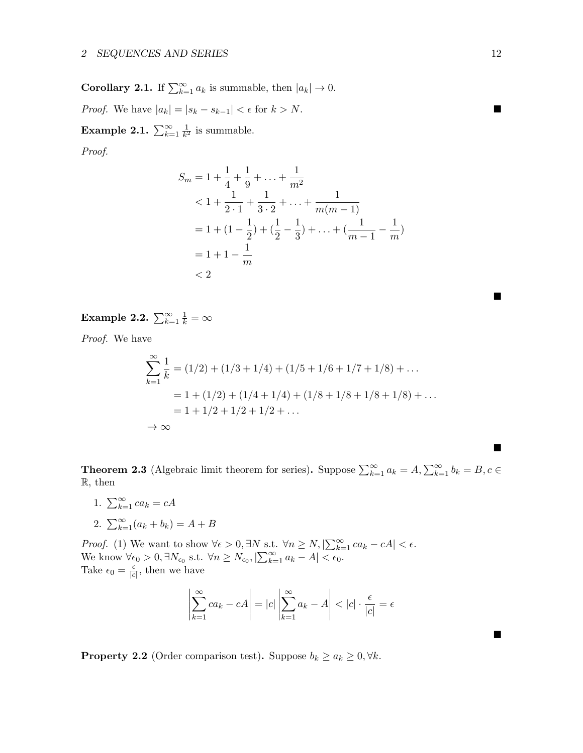**Corollary 2.1.** If  $\sum_{k=1}^{\infty} a_k$  is summable, then  $|a_k| \to 0$ . *Proof.* We have  $|a_k| = |s_k - s_{k-1}| < \epsilon$  for  $k > N$ . Example 2.1.  $\sum_{k=1}^{\infty} \frac{1}{k^2}$  $\frac{1}{k^2}$  is summable.

Proof.

$$
S_m = 1 + \frac{1}{4} + \frac{1}{9} + \dots + \frac{1}{m^2}
$$
  

$$
< 1 + \frac{1}{2 \cdot 1} + \frac{1}{3 \cdot 2} + \dots + \frac{1}{m(m-1)}
$$
  

$$
= 1 + (1 - \frac{1}{2}) + (\frac{1}{2} - \frac{1}{3}) + \dots + (\frac{1}{m-1} - \frac{1}{m})
$$
  

$$
= 1 + 1 - \frac{1}{m}
$$
  

$$
< 2
$$

Example 2.2.  $\sum_{k=1}^{\infty} \frac{1}{k} = \infty$ 

Proof. We have

$$
\sum_{k=1}^{\infty} \frac{1}{k} = (1/2) + (1/3 + 1/4) + (1/5 + 1/6 + 1/7 + 1/8) + \dots
$$
  
= 1 + (1/2) + (1/4 + 1/4) + (1/8 + 1/8 + 1/8 + 1/8) + \dots  
= 1 + 1/2 + 1/2 + 1/2 + \dots  
  $\rightarrow \infty$ 

**Theorem 2.3** (Algebraic limit theorem for series). Suppose  $\sum_{k=1}^{\infty} a_k = A, \sum_{k=1}^{\infty} b_k = B, c \in$ R, then

1.  $\sum_{k=1}^{\infty} ca_k = cA$ 2.  $\sum_{k=1}^{\infty} (a_k + b_k) = A + B$ 

*Proof.* (1) We want to show  $\forall \epsilon > 0, \exists N \text{ s.t. } \forall n \ge N, |\sum_{k=1}^{\infty} ca_k - cA| < \epsilon.$ We know  $\forall \epsilon_0 > 0, \exists N_{\epsilon_0} \text{ s.t. } \forall n \ge N_{\epsilon_0}, |\sum_{k=1}^{\infty} a_k - A| < \epsilon_0.$ Take  $\epsilon_0 = \frac{\epsilon}{c}$  $\frac{\epsilon}{|c|}$ , then we have

$$
\left| \sum_{k=1}^{\infty} ca_k - cA \right| = |c| \left| \sum_{k=1}^{\infty} a_k - A \right| < |c| \cdot \frac{\epsilon}{|c|} = \epsilon
$$

**Property 2.2** (Order comparison test). Suppose  $b_k \ge a_k \ge 0, \forall k$ .

 $\blacksquare$ 

 $\blacksquare$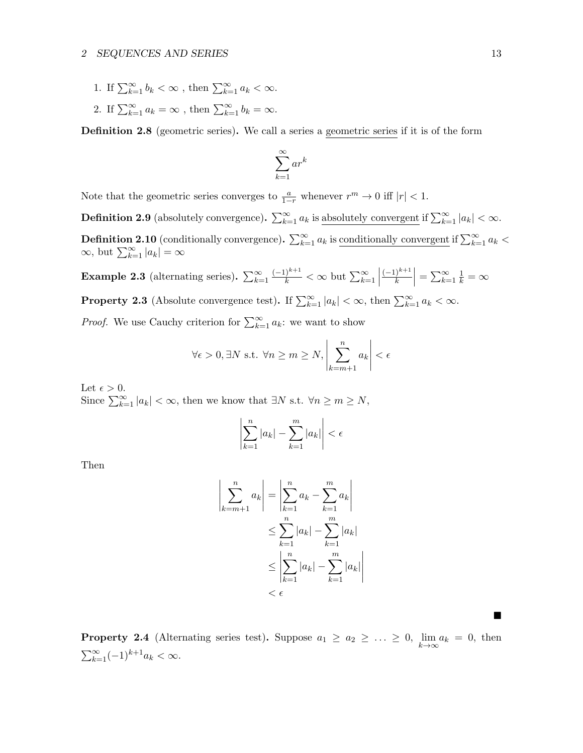- 1. If  $\sum_{k=1}^{\infty} b_k < \infty$ , then  $\sum_{k=1}^{\infty} a_k < \infty$ .
- 2. If  $\sum_{k=1}^{\infty} a_k = \infty$ , then  $\sum_{k=1}^{\infty} b_k = \infty$ .

Definition 2.8 (geometric series). We call a series a geometric series if it is of the form

$$
\sum_{k=1}^{\infty} ar^k
$$

Note that the geometric series converges to  $\frac{a}{1-r}$  whenever  $r^m \to 0$  iff  $|r| < 1$ .

**Definition 2.9** (absolutely convergence).  $\sum_{k=1}^{\infty} a_k$  is absolutely convergent if  $\sum_{k=1}^{\infty} |a_k| < \infty$ . **Definition 2.10** (conditionally convergence).  $\sum_{k=1}^{\infty} a_k$  is <u>conditionally convergent</u> if  $\sum_{k=1}^{\infty} a_k$  <  $\infty$ , but  $\sum_{k=1}^{\infty} |a_k| = \infty$ 

**Example 2.3** (alternating series).  $\sum_{k=1}^{\infty}$  $\frac{(-1)^{k+1}}{k} < \infty$  but  $\sum_{k=1}^{\infty}$  $(-1)^{k+1}$  $\left|\frac{k+1}{k}\right| = \sum_{k=1}^{\infty} \frac{1}{k} = \infty$ 

**Property 2.3** (Absolute convergence test). If  $\sum_{k=1}^{\infty} |a_k| < \infty$ , then  $\sum_{k=1}^{\infty} a_k < \infty$ .

*Proof.* We use Cauchy criterion for  $\sum_{k=1}^{\infty} a_k$ : we want to show

$$
\forall \epsilon > 0, \exists N \text{ s.t. } \forall n \ge m \ge N, \left| \sum_{k=m+1}^{n} a_k \right| < \epsilon
$$

Let  $\epsilon > 0$ . Since  $\sum_{k=1}^{\infty} |a_k| < \infty$ , then we know that  $\exists N \text{ s.t. } \forall n \geq m \geq N$ ,

$$
\left|\sum_{k=1}^{n}|a_k| - \sum_{k=1}^{m}|a_k|\right| < \epsilon
$$

Then

$$
\left|\sum_{k=m+1}^{n} a_k\right| = \left|\sum_{k=1}^{n} a_k - \sum_{k=1}^{m} a_k\right|
$$
  

$$
\leq \sum_{k=1}^{n} |a_k| - \sum_{k=1}^{m} |a_k|
$$
  

$$
\leq \left|\sum_{k=1}^{n} |a_k| - \sum_{k=1}^{m} |a_k|\right|
$$
  

$$
< \epsilon
$$

**Property 2.4** (Alternating series test). Suppose  $a_1 \ge a_2 \ge ... \ge 0$ ,  $\lim_{k \to \infty} a_k = 0$ , then  $\sum_{k=1}^{\infty}(-1)^{k+1}a_k < \infty.$ 

ш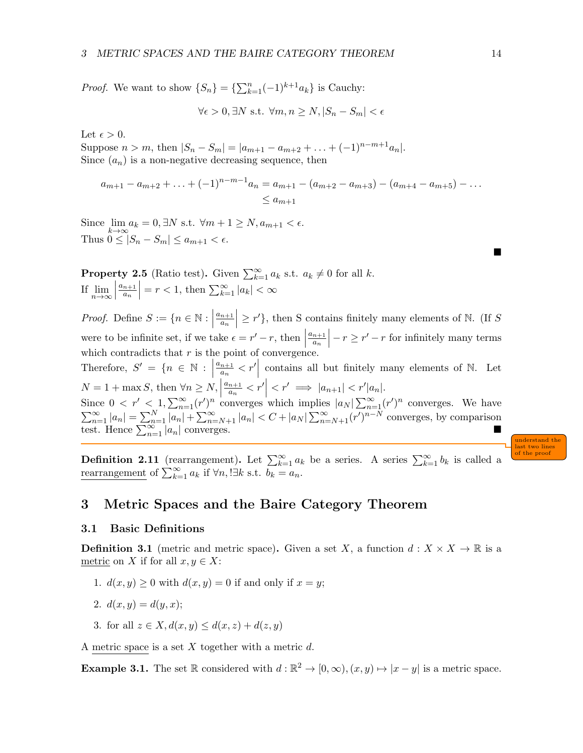*Proof.* We want to show  $\{S_n\} = \{\sum_{k=1}^n (-1)^{k+1} a_k\}$  is Cauchy:

$$
\forall \epsilon > 0, \exists N \text{ s.t. } \forall m, n \ge N, |S_n - S_m| < \epsilon
$$

Let  $\epsilon > 0$ .

Suppose  $n > m$ , then  $|S_n - S_m| = |a_{m+1} - a_{m+2} + ... + (-1)^{n-m+1}a_n|$ . Since  $(a_n)$  is a non-negative decreasing sequence, then

$$
a_{m+1} - a_{m+2} + \ldots + (-1)^{n-m-1} a_n = a_{m+1} - (a_{m+2} - a_{m+3}) - (a_{m+4} - a_{m+5}) - \ldots
$$
  
\$\leq a\_{m+1}

Since  $\lim_{k \to \infty} a_k = 0, \exists N \text{ s.t. } \forall m+1 \geq N, a_{m+1} < \epsilon.$ Thus  $0 \leq |S_n - S_m| \leq a_{m+1} < \epsilon$ .

**Property 2.5** (Ratio test). Given  $\sum_{k=1}^{\infty} a_k$  s.t.  $a_k \neq 0$  for all k. If  $\lim_{n\to\infty}$  $a_{n+1}$ an  $= r < 1$ , then  $\sum_{k=1}^{\infty} |a_k| < \infty$ 

*Proof.* Define  $S := \{n \in \mathbb{N} : \mid$  $a_{n+1}$  $\frac{a_n}{2}$  $\vert \geq r' \}$ , then S contains finitely many elements of N. (If S) were to be infinite set, if we take  $\epsilon = r' - r$ , then  $a_{n+1}$  $\frac{a_n}{a_n}$  $\vert -r\geq r'-r$  for infinitely many terms which contradicts that  $r$  is the point of convergence. Therefore,  $S' = \{n \in \mathbb{N} : \left|\frac{a_{n+1}}{a_n}\right|$  $\overline{\phantom{a}}$  $\left|\frac{n+1}{a_n} < r'\right|$  contains all but finitely many elements of N. Let  $N = 1 + \max S$ , then  $\forall n \ge N$ ,  $a_{n+1}$  $\left| \frac{n+1}{a_n} < r' \right| < r' \implies \left| a_{n+1} \right| < r' \left| a_n \right|.$ Since  $0 < r' < 1$ ,  $\sum_{n=1}^{\infty} (r')^n$  converges which implies  $|a_N| \sum_{n=1}^{\infty} (r')^n$  converges. We have  $\sum_{n=1}^{\infty} |a_n| = \sum_{n=1}^{N} |a_n| + \sum_{n=N+1}^{\infty} |a_n| < C + |a_N| \sum_{n=N+1}^{\infty} (r')^{n-N}$  converges, by comparison test. Hence  $\sum_{n=1}^{\infty} |a_n|$  converges.

understand the last two lines of the proof

**Definition 2.11** (rearrangement). Let  $\sum_{k=1}^{\infty} a_k$  be a series. A series  $\sum_{k=1}^{\infty} b_k$  is called a rearrangement of  $\sum_{k=1}^{\infty} a_k$  if  $\forall n, \exists k \text{ s.t. } b_k = a_n$ .

## <span id="page-13-0"></span>3 Metric Spaces and the Baire Category Theorem

## <span id="page-13-1"></span>3.1 Basic Definitions

**Definition 3.1** (metric and metric space). Given a set X, a function  $d: X \times X \to \mathbb{R}$  is a metric on X if for all  $x, y \in X$ :

- 1.  $d(x, y) > 0$  with  $d(x, y) = 0$  if and only if  $x = y$ ;
- 2.  $d(x, y) = d(y, x)$ ;
- 3. for all  $z \in X$ ,  $d(x, y) \leq d(x, z) + d(z, y)$

A metric space is a set X together with a metric  $d$ .

**Example 3.1.** The set  $\mathbb R$  considered with  $d : \mathbb R^2 \to [0, \infty), (x, y) \mapsto |x - y|$  is a metric space.

**START**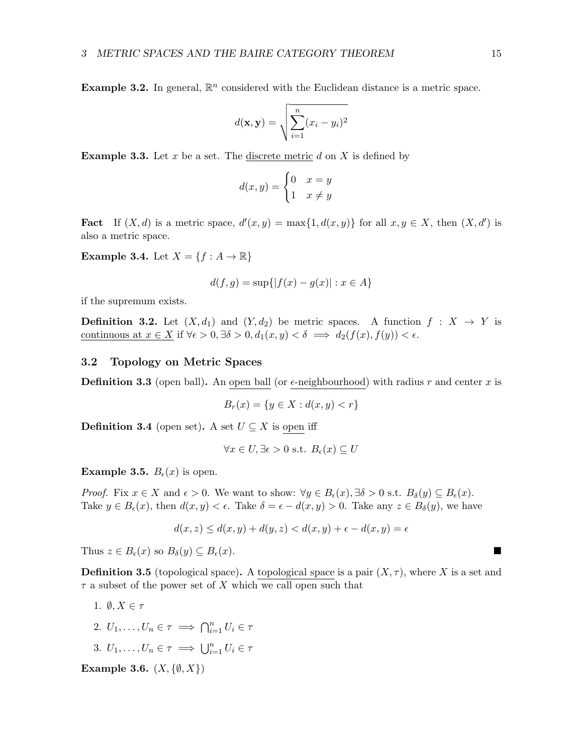**Example 3.2.** In general,  $\mathbb{R}^n$  considered with the Euclidean distance is a metric space.

$$
d(\mathbf{x}, \mathbf{y}) = \sqrt{\sum_{i=1}^{n} (x_i - y_i)^2}
$$

**Example 3.3.** Let x be a set. The discrete metric d on X is defined by

$$
d(x,y) = \begin{cases} 0 & x = y \\ 1 & x \neq y \end{cases}
$$

**Fact** If  $(X, d)$  is a metric space,  $d'(x, y) = \max\{1, d(x, y)\}\)$  for all  $x, y \in X$ , then  $(X, d')$  is also a metric space.

**Example 3.4.** Let  $X = \{f : A \to \mathbb{R}\}\$ 

$$
d(f, g) = \sup\{|f(x) - g(x)| : x \in A\}
$$

if the supremum exists.

**Definition 3.2.** Let  $(X, d_1)$  and  $(Y, d_2)$  be metric spaces. A function  $f : X \to Y$  is continuous at  $x \in X$  if  $\forall \epsilon > 0, \exists \delta > 0, d_1(x, y) < \delta \implies d_2(f(x), f(y)) < \epsilon$ .

#### <span id="page-14-0"></span>3.2 Topology on Metric Spaces

**Definition 3.3** (open ball). An open ball (or  $\epsilon$ -neighbourhood) with radius r and center x is

$$
B_r(x) = \{ y \in X : d(x, y) < r \}
$$

**Definition 3.4** (open set). A set  $U \subseteq X$  is open iff

$$
\forall x \in U, \exists \epsilon > 0 \text{ s.t. } B_{\epsilon}(x) \subseteq U
$$

**Example 3.5.**  $B_{\epsilon}(x)$  is open.

*Proof.* Fix  $x \in X$  and  $\epsilon > 0$ . We want to show:  $\forall y \in B_{\epsilon}(x), \exists \delta > 0$  s.t.  $B_{\delta}(y) \subseteq B_{\epsilon}(x)$ . Take  $y \in B_{\epsilon}(x)$ , then  $d(x, y) < \epsilon$ . Take  $\delta = \epsilon - d(x, y) > 0$ . Take any  $z \in B_{\delta}(y)$ , we have

$$
d(x, z) \le d(x, y) + d(y, z) < d(x, y) + \epsilon - d(x, y) = \epsilon
$$

Thus  $z \in B_{\epsilon}(x)$  so  $B_{\delta}(y) \subseteq B_{\epsilon}(x)$ .

**Definition 3.5** (topological space). A topological space is a pair  $(X, \tau)$ , where X is a set and  $\tau$  a subset of the power set of X which we call open such that

- 1.  $\emptyset, X \in \tau$
- 2.  $U_1, \ldots, U_n \in \tau \implies \bigcap_{i=1}^n U_i \in \tau$
- 3.  $U_1, \ldots, U_n \in \tau \implies \bigcup_{i=1}^n U_i \in \tau$

Example 3.6.  $(X, \{\emptyset, X\})$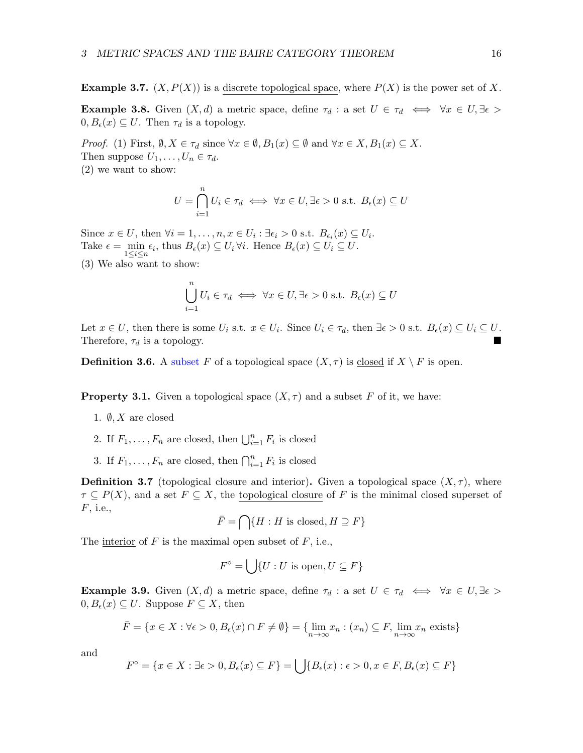**Example 3.7.**  $(X, P(X))$  is a discrete topological space, where  $P(X)$  is the power set of X.

Example 3.8. Given  $(X, d)$  a metric space, define  $\tau_d$  : a set  $U \in \tau_d \iff \forall x \in U, \exists \epsilon >$  $0, B_{\epsilon}(x) \subseteq U$ . Then  $\tau_d$  is a topology.

*Proof.* (1) First,  $\emptyset, X \in \tau_d$  since  $\forall x \in \emptyset, B_1(x) \subseteq \emptyset$  and  $\forall x \in X, B_1(x) \subseteq X$ . Then suppose  $U_1, \ldots, U_n \in \tau_d$ . (2) we want to show:

$$
U = \bigcap_{i=1}^{n} U_i \in \tau_d \iff \forall x \in U, \exists \epsilon > 0 \text{ s.t. } B_{\epsilon}(x) \subseteq U
$$

Since  $x \in U$ , then  $\forall i = 1, \ldots, n, x \in U_i : \exists \epsilon_i > 0 \text{ s.t. } B_{\epsilon_i}(x) \subseteq U_i$ . Take  $\epsilon = \min_{1 \leq i \leq n} \epsilon_i$ , thus  $B_{\epsilon}(x) \subseteq U_i \forall i$ . Hence  $B_{\epsilon}(x) \subseteq U_i \subseteq U$ .

(3) We also want to show:

$$
\bigcup_{i=1}^{n} U_i \in \tau_d \iff \forall x \in U, \exists \epsilon > 0 \text{ s.t. } B_{\epsilon}(x) \subseteq U
$$

Let  $x \in U$ , then there is some  $U_i$  s.t.  $x \in U_i$ . Since  $U_i \in \tau_d$ , then  $\exists \epsilon > 0$  s.t.  $B_{\epsilon}(x) \subseteq U_i \subseteq U$ . Therefore,  $\tau_d$  is a topology.

**Definition 3.6.** A subset F of a topological space  $(X, \tau)$  is closed if  $X \setminus F$  is open.

**Property 3.1.** Given a topological space  $(X, \tau)$  and a subset F of it, we have:

- 1.  $\emptyset, X$  are closed
- 2. If  $F_1, \ldots, F_n$  are closed, then  $\bigcup_{i=1}^n F_i$  is closed
- 3. If  $F_1, \ldots, F_n$  are closed, then  $\bigcap_{i=1}^n F_i$  is closed

**Definition 3.7** (topological closure and interior). Given a topological space  $(X, \tau)$ , where  $\tau \subseteq P(X)$ , and a set  $F \subseteq X$ , the topological closure of F is the minimal closed superset of F, i.e.,

$$
\bar{F} = \bigcap \{ H : H \text{ is closed}, H \supseteq F \}
$$

The interior of  $F$  is the maximal open subset of  $F$ , i.e.,

$$
F^{\circ} = \bigcup \{ U : U \text{ is open}, U \subseteq F \}
$$

**Example 3.9.** Given  $(X, d)$  a metric space, define  $\tau_d$  : a set  $U \in \tau_d \iff \forall x \in U, \exists \epsilon$  $0, B_{\epsilon}(x) \subseteq U$ . Suppose  $F \subseteq X$ , then

$$
\bar{F} = \{x \in X : \forall \epsilon > 0, B_{\epsilon}(x) \cap F \neq \emptyset\} = \{\lim_{n \to \infty} x_n : (x_n) \subseteq F, \lim_{n \to \infty} x_n \text{ exists}\}
$$

and

$$
F^{\circ} = \{x \in X : \exists \epsilon > 0, B_{\epsilon}(x) \subseteq F\} = \bigcup \{B_{\epsilon}(x) : \epsilon > 0, x \in F, B_{\epsilon}(x) \subseteq F\}
$$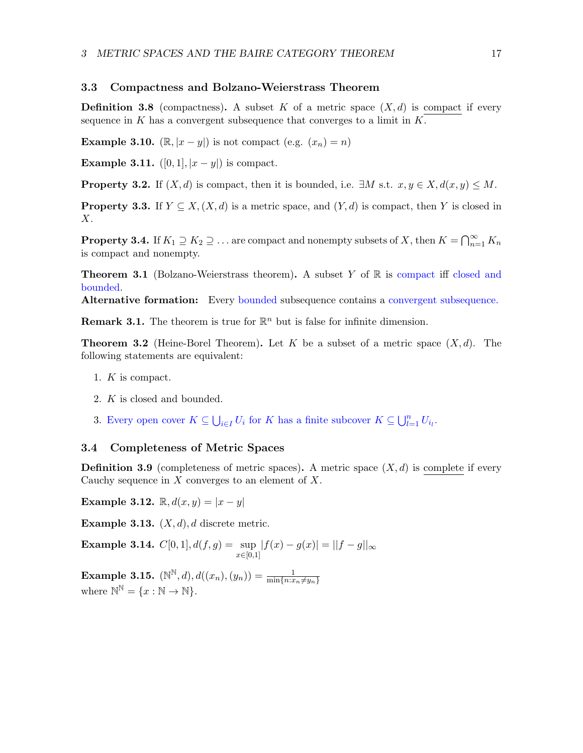#### <span id="page-16-0"></span>3.3 Compactness and Bolzano-Weierstrass Theorem

**Definition 3.8** (compactness). A subset K of a metric space  $(X, d)$  is compact if every sequence in  $K$  has a convergent subsequence that converges to a limit in  $K$ .

**Example 3.10.** ( $\mathbb{R}, |x-y|$ ) is not compact (e.g.  $(x_n) = n$ )

**Example 3.11.**  $([0, 1], |x - y|)$  is compact.

**Property 3.2.** If  $(X, d)$  is compact, then it is bounded, i.e.  $\exists M$  s.t.  $x, y \in X, d(x, y) \leq M$ .

**Property 3.3.** If  $Y \subseteq X$ ,  $(X, d)$  is a metric space, and  $(Y, d)$  is compact, then Y is closed in X.

**Property 3.4.** If  $K_1 \supseteq K_2 \supseteq \ldots$  are compact and nonempty subsets of X, then  $K = \bigcap_{n=1}^{\infty} K_n$ is compact and nonempty.

**Theorem 3.1** (Bolzano-Weierstrass theorem). A subset Y of  $\mathbb{R}$  is compact iff closed and bounded.

Alternative formation: Every bounded subsequence contains a convergent subsequence.

**Remark 3.1.** The theorem is true for  $\mathbb{R}^n$  but is false for infinite dimension.

**Theorem 3.2** (Heine-Borel Theorem). Let K be a subset of a metric space  $(X, d)$ . The following statements are equivalent:

- 1. K is compact.
- 2. K is closed and bounded.
- 3. Every open cover  $K \subseteq \bigcup_{i \in I} U_i$  for K has a finite subcover  $K \subseteq \bigcup_{l=1}^n U_{i_l}$ .

### <span id="page-16-1"></span>3.4 Completeness of Metric Spaces

**Definition 3.9** (completeness of metric spaces). A metric space  $(X, d)$  is complete if every Cauchy sequence in  $X$  converges to an element of  $X$ .

Example 3.12.  $\mathbb{R}, d(x, y) = |x - y|$ 

**Example 3.13.**  $(X, d)$ , d discrete metric.

**Example 3.14.**  $C[0,1], d(f,g) = \sup$  $x \in [0,1]$  $|f(x) - g(x)| = ||f - g||_{\infty}$ 

**Example 3.15.**  $(N^{\mathbb{N}}, d), d((x_n), (y_n)) = \frac{1}{\min\{n : x_n \neq y_n\}}$ where  $\mathbb{N}^{\mathbb{N}} = \{x : \mathbb{N} \to \mathbb{N}\}.$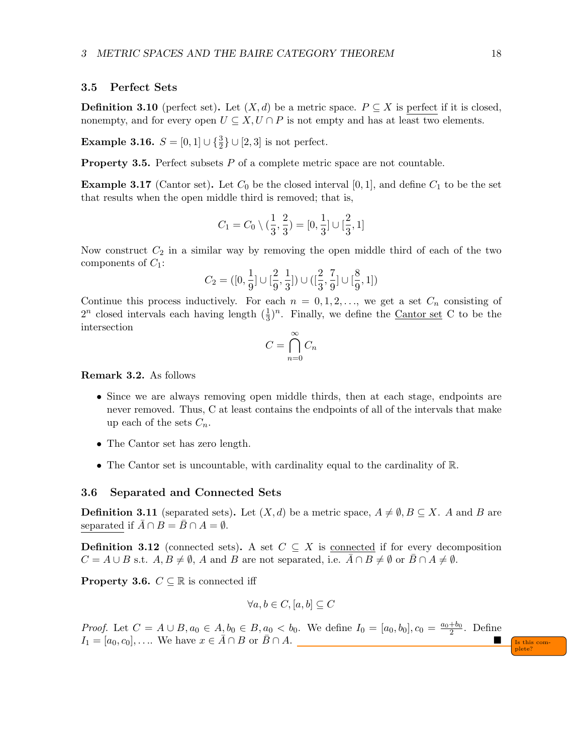#### <span id="page-17-0"></span>3.5 Perfect Sets

**Definition 3.10** (perfect set). Let  $(X,d)$  be a metric space.  $P \subseteq X$  is perfect if it is closed, nonempty, and for every open  $U \subseteq X, U \cap P$  is not empty and has at least two elements.

**Example 3.16.**  $S = [0, 1] \cup \{\frac{3}{2}\} \cup [2, 3]$  is not perfect.

**Property 3.5.** Perfect subsets  $P$  of a complete metric space are not countable.

**Example 3.17** (Cantor set). Let  $C_0$  be the closed interval [0, 1], and define  $C_1$  to be the set that results when the open middle third is removed; that is,

$$
C_1 = C_0 \setminus (\frac{1}{3}, \frac{2}{3}) = [0, \frac{1}{3}] \cup [\frac{2}{3}, 1]
$$

Now construct  $C_2$  in a similar way by removing the open middle third of each of the two components of  $C_1$ :

$$
C_2 = ([0, \frac{1}{9}] \cup [\frac{2}{9}, \frac{1}{3}]) \cup ([\frac{2}{3}, \frac{7}{9}] \cup [\frac{8}{9}, 1])
$$

Continue this process inductively. For each  $n = 0, 1, 2, \ldots$ , we get a set  $C_n$  consisting of  $2^n$  closed intervals each having length  $(\frac{1}{3})^n$ . Finally, we define the <u>Cantor set</u> C to be the intersection

$$
C = \bigcap_{n=0}^{\infty} C_n
$$

Remark 3.2. As follows

- Since we are always removing open middle thirds, then at each stage, endpoints are never removed. Thus, C at least contains the endpoints of all of the intervals that make up each of the sets  $C_n$ .
- The Cantor set has zero length.
- The Cantor set is uncountable, with cardinality equal to the cardinality of R.

#### <span id="page-17-1"></span>3.6 Separated and Connected Sets

**Definition 3.11** (separated sets). Let  $(X, d)$  be a metric space,  $A \neq \emptyset, B \subseteq X$ . A and B are separated if  $\overline{A} \cap B = \overline{B} \cap A = \emptyset$ .

**Definition 3.12** (connected sets). A set  $C \subseteq X$  is connected if for every decomposition  $C = A \cup B$  s.t.  $A, B \neq \emptyset$ , A and B are not separated, i.e.  $A \cap B \neq \emptyset$  or  $B \cap A \neq \emptyset$ .

**Property 3.6.**  $C \subseteq \mathbb{R}$  is connected iff

$$
\forall a, b \in C, [a, b] \subseteq C
$$

*Proof.* Let  $C = A \cup B, a_0 \in A, b_0 \in B, a_0 < b_0$ . We define  $I_0 = [a_0, b_0], c_0 = \frac{a_0 + b_0}{2}$ . Define  $I_1 = [a_0, c_0], \ldots$  We have  $x \in \overline{A} \cap B$  or  $\overline{B} \cap A$ .

plete?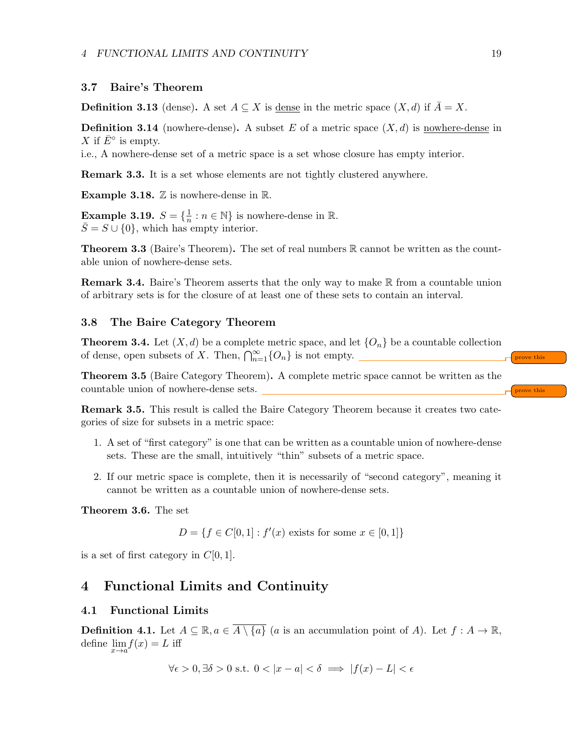#### <span id="page-18-0"></span>3.7 Baire's Theorem

**Definition 3.13** (dense). A set  $A \subseteq X$  is <u>dense</u> in the metric space  $(X, d)$  if  $\overline{A} = X$ .

**Definition 3.14** (nowhere-dense). A subset E of a metric space  $(X, d)$  is nowhere-dense in X if  $\bar{E}^{\circ}$  is empty.

i.e., A nowhere-dense set of a metric space is a set whose closure has empty interior.

Remark 3.3. It is a set whose elements are not tightly clustered anywhere.

**Example 3.18.**  $\mathbb{Z}$  is nowhere-dense in  $\mathbb{R}$ .

Example 3.19.  $S = \{\frac{1}{n}\}$  $\frac{1}{n}$ :  $n \in \mathbb{N}$  is nowhere-dense in  $\mathbb{R}$ .  $\overline{S} = S \cup \{0\}$ , which has empty interior.

**Theorem 3.3** (Baire's Theorem). The set of real numbers  $\mathbb{R}$  cannot be written as the countable union of nowhere-dense sets.

**Remark 3.4.** Baire's Theorem asserts that the only way to make  $\mathbb{R}$  from a countable union of arbitrary sets is for the closure of at least one of these sets to contain an interval.

#### <span id="page-18-1"></span>3.8 The Baire Category Theorem

**Theorem 3.4.** Let  $(X, d)$  be a complete metric space, and let  $\{O_n\}$  be a countable collection of dense, open subsets of X. Then,  $\bigcap_{n=1}^{\infty} \{O_n\}$  is not empty.

Theorem 3.5 (Baire Category Theorem). A complete metric space cannot be written as the countable union of nowhere-dense sets.  $\int_{\text{prove this}}$ 

Remark 3.5. This result is called the Baire Category Theorem because it creates two categories of size for subsets in a metric space:

- 1. A set of "first category" is one that can be written as a countable union of nowhere-dense sets. These are the small, intuitively "thin" subsets of a metric space.
- 2. If our metric space is complete, then it is necessarily of "second category", meaning it cannot be written as a countable union of nowhere-dense sets.

Theorem 3.6. The set

 $D = \{ f \in C[0,1] : f'(x) \text{ exists for some } x \in [0,1] \}$ 

is a set of first category in  $C[0, 1]$ .

## <span id="page-18-2"></span>4 Functional Limits and Continuity

#### <span id="page-18-3"></span>4.1 Functional Limits

**Definition 4.1.** Let  $A \subseteq \mathbb{R}, a \in \overline{A \setminus \{a\}}$  (a is an accumulation point of A). Let  $f : A \to \mathbb{R}$ , define  $\lim_{x \to a} f(x) = L$  iff

 $\forall \epsilon > 0, \exists \delta > 0 \text{ s.t. } 0 < |x - a| < \delta \implies |f(x) - L| < \epsilon$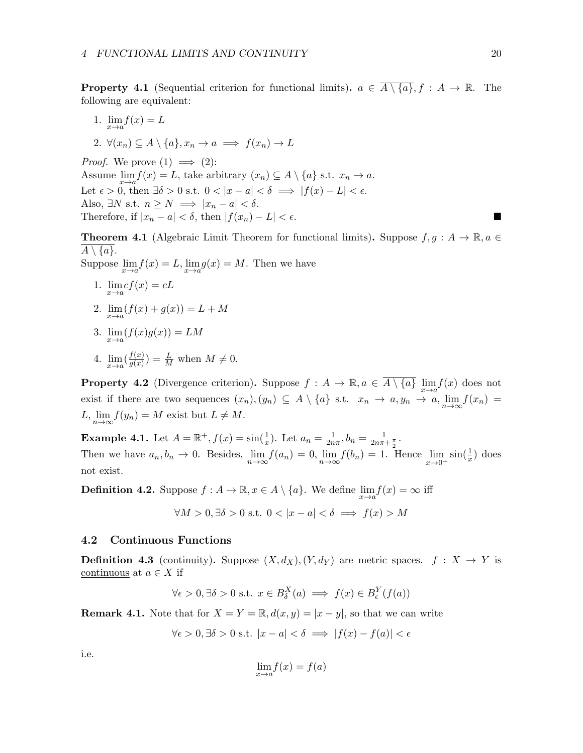**Property 4.1** (Sequential criterion for functional limits).  $a \in \overline{A \setminus \{a\}}, f : A \to \mathbb{R}$ . The following are equivalent:

- 1.  $\lim_{x \to a} f(x) = L$
- 2.  $\forall (x_n) \subset A \setminus \{a\}, x_n \to a \implies f(x_n) \to L$

*Proof.* We prove  $(1) \implies (2)$ : Assume  $\lim_{x \to a} f(x) = L$ , take arbitrary  $(x_n) \subseteq A \setminus \{a\}$  s.t.  $x_n \to a$ . Let  $\epsilon > 0$ , then  $\exists \delta > 0$  s.t.  $0 < |x - a| < \delta \implies |f(x) - L| < \epsilon$ . Also,  $\exists N \text{ s.t. } n \geq N \implies |x_n - a| < \delta.$ Therefore, if  $|x_n - a| < \delta$ , then  $|f(x_n) - L| < \epsilon$ .

**Theorem 4.1** (Algebraic Limit Theorem for functional limits). Suppose  $f, g : A \to \mathbb{R}, a \in$  $A \setminus \{a\}.$ 

Suppose  $\lim_{x \to a} f(x) = L$ ,  $\lim_{x \to a} g(x) = M$ . Then we have

- 1.  $\lim_{x\to a} cf(x) = cL$
- 2.  $\lim_{x \to a} (f(x) + g(x)) = L + M$
- 3.  $\lim_{x \to a} (f(x)g(x)) = LM$
- 4.  $\lim_{x \to a} \left( \frac{f(x)}{g(x)} \right)$  $\frac{f(x)}{g(x)}$  =  $\frac{L}{M}$  when  $M \neq 0$ .

**Property 4.2** (Divergence criterion). Suppose  $f: A \to \mathbb{R}$ ,  $a \in \overline{A \setminus \{a\}} \lim_{x \to a} f(x)$  does not exist if there are two sequences  $(x_n), (y_n) \subseteq A \setminus \{a\}$  s.t.  $x_n \to a, y_n \to a, \lim_{n \to \infty} f(x_n) =$  $L, \lim_{n\to\infty} f(y_n) = M$  exist but  $L \neq M$ .

**Example 4.1.** Let  $A = \mathbb{R}^+, f(x) = \sin(\frac{1}{x})$ . Let  $a_n = \frac{1}{2n}$  $\frac{1}{2n\pi}, b_n = \frac{1}{2n\pi + \frac{\pi}{2}}.$ Then we have  $a_n, b_n \to 0$ . Besides,  $\lim_{n \to \infty} f(a_n) = 0$ ,  $\lim_{n \to \infty} f(b_n) = 1$ . Hence  $\lim_{x \to 0^+} \sin(\frac{1}{x})$  does not exist.

**Definition 4.2.** Suppose  $f : A \to \mathbb{R}, x \in A \setminus \{a\}$ . We define  $\lim_{x \to a} f(x) = \infty$  iff

$$
\forall M > 0, \exists \delta > 0 \text{ s.t. } 0 < |x - a| < \delta \implies f(x) > M
$$

#### <span id="page-19-0"></span>4.2 Continuous Functions

**Definition 4.3** (continuity). Suppose  $(X, d_X)$ ,  $(Y, d_Y)$  are metric spaces.  $f : X \to Y$  is continuous at  $a \in X$  if

$$
\forall \epsilon > 0, \exists \delta > 0 \text{ s.t. } x \in B^X_{\delta}(a) \implies f(x) \in B^Y_{\epsilon}(f(a))
$$

**Remark 4.1.** Note that for  $X = Y = \mathbb{R}$ ,  $d(x, y) = |x - y|$ , so that we can write

$$
\forall \epsilon > 0, \exists \delta > 0 \text{ s.t. } |x - a| < \delta \implies |f(x) - f(a)| < \epsilon
$$

i.e.

$$
\lim_{x \to a} f(x) = f(a)
$$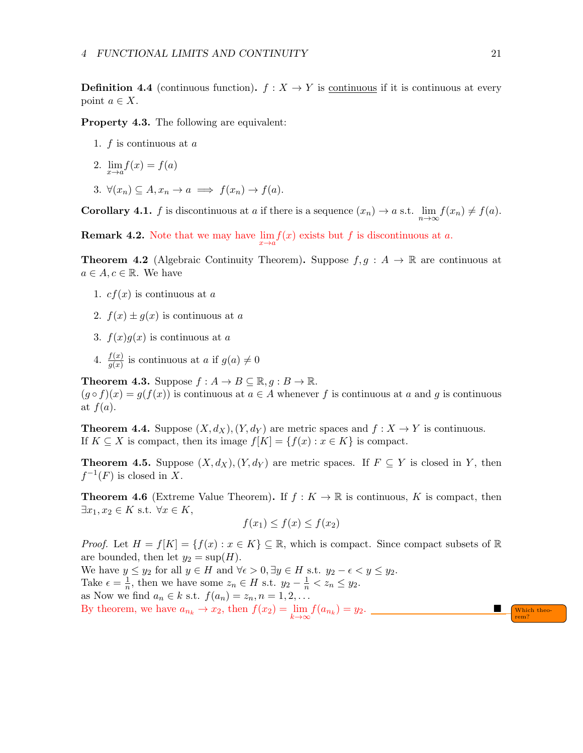**Definition 4.4** (continuous function).  $f: X \to Y$  is continuous if it is continuous at every point  $a \in X$ .

Property 4.3. The following are equivalent:

- 1. f is continuous at a
- 2.  $\lim_{x \to a} f(x) = f(a)$
- 3.  $\forall (x_n) \subseteq A, x_n \to a \implies f(x_n) \to f(a).$

**Corollary 4.1.** f is discontinuous at a if there is a sequence  $(x_n) \to a$  s.t.  $\lim_{n \to \infty} f(x_n) \neq f(a)$ .

**Remark 4.2.** Note that we may have  $\lim_{x \to a} f(x)$  exists but f is discontinuous at a.

**Theorem 4.2** (Algebraic Continuity Theorem). Suppose  $f, g : A \rightarrow \mathbb{R}$  are continuous at  $a \in A, c \in \mathbb{R}$ . We have

- 1.  $cf(x)$  is continuous at a
- 2.  $f(x) \pm g(x)$  is continuous at a
- 3.  $f(x)g(x)$  is continuous at a
- 4.  $\frac{f(x)}{g(x)}$  is continuous at a if  $g(a) \neq 0$

**Theorem 4.3.** Suppose  $f : A \to B \subseteq \mathbb{R}, q : B \to \mathbb{R}$ .  $(g \circ f)(x) = g(f(x))$  is continuous at  $a \in A$  whenever f is continuous at a and g is continuous at  $f(a)$ .

**Theorem 4.4.** Suppose  $(X, d_X)$ ,  $(Y, d_Y)$  are metric spaces and  $f : X \to Y$  is continuous. If  $K \subseteq X$  is compact, then its image  $f[K] = \{f(x) : x \in K\}$  is compact.

**Theorem 4.5.** Suppose  $(X, d_X), (Y, d_Y)$  are metric spaces. If  $F \subseteq Y$  is closed in Y, then  $f^{-1}(F)$  is closed in X.

**Theorem 4.6** (Extreme Value Theorem). If  $f: K \to \mathbb{R}$  is continuous, K is compact, then  $\exists x_1, x_2 \in K \text{ s.t. } \forall x \in K,$ 

$$
f(x_1) \le f(x) \le f(x_2)
$$

*Proof.* Let  $H = f[K] = \{f(x) : x \in K\} \subseteq \mathbb{R}$ , which is compact. Since compact subsets of  $\mathbb{R}$ are bounded, then let  $y_2 = \sup(H)$ .

We have  $y \le y_2$  for all  $y \in H$  and  $\forall \epsilon > 0, \exists y \in H$  s.t.  $y_2 - \epsilon < y \le y_2$ . Take  $\epsilon = \frac{1}{n}$  $\frac{1}{n}$ , then we have some  $z_n \in H$  s.t.  $y_2 - \frac{1}{n} < z_n \le y_2$ . as Now we find  $a_n \in k$  s.t.  $f(a_n) = z_n, n = 1, 2, \ldots$ By theorem, we have  $a_{n_k} \to x_2$ , then  $f(x_2) = \lim_{k \to \infty} f(a_{n_k}) = y_2$ .

rem?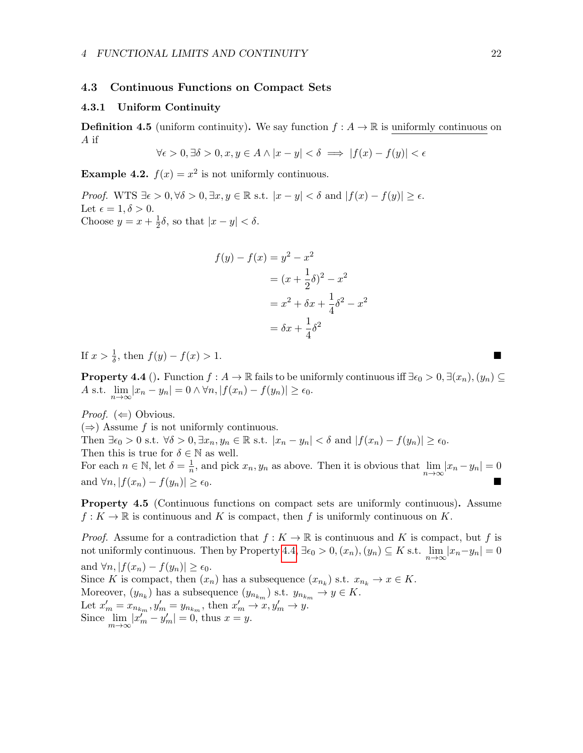#### <span id="page-21-0"></span>4.3 Continuous Functions on Compact Sets

### <span id="page-21-1"></span>4.3.1 Uniform Continuity

**Definition 4.5** (uniform continuity). We say function  $f : A \to \mathbb{R}$  is uniformly continuous on A if

$$
\forall \epsilon > 0, \exists \delta > 0, x, y \in A \land |x - y| < \delta \implies |f(x) - f(y)| < \epsilon
$$

**Example 4.2.**  $f(x) = x^2$  is not uniformly continuous.

Proof. WTS  $\exists \epsilon > 0, \forall \delta > 0, \exists x, y \in \mathbb{R}$  s.t.  $|x - y| < \delta$  and  $|f(x) - f(y)| \ge \epsilon$ . Let  $\epsilon = 1, \delta > 0$ . Choose  $y = x + \frac{1}{2}$  $\frac{1}{2}\delta$ , so that  $|x-y| < \delta$ .

$$
f(y) - f(x) = y2 - x2
$$
  
=  $(x + \frac{1}{2}\delta)^{2} - x^{2}$   
=  $x^{2} + \delta x + \frac{1}{4}\delta^{2} - x^{2}$   
=  $\delta x + \frac{1}{4}\delta^{2}$ 

If  $x > \frac{1}{\delta}$ , then  $f(y) - f(x) > 1$ . ■

<span id="page-21-2"></span>**Property 4.4** (). Function  $f : A \to \mathbb{R}$  fails to be uniformly continuous iff  $\exists \epsilon_0 > 0, \exists (x_n), (y_n) \subseteq$ A s.t.  $\lim_{n\to\infty} |x_n - y_n| = 0 \wedge \forall n, |f(x_n) - f(y_n)| \ge \epsilon_0.$ 

*Proof.*  $(\Leftarrow)$  Obvious.

 $(\Rightarrow)$  Assume f is not uniformly continuous.

Then  $\exists \epsilon_0 > 0$  s.t.  $\forall \delta > 0, \exists x_n, y_n \in \mathbb{R}$  s.t.  $|x_n - y_n| < \delta$  and  $|f(x_n) - f(y_n)| \ge \epsilon_0$ . Then this is true for  $\delta \in \mathbb{N}$  as well.

For each  $n \in \mathbb{N}$ , let  $\delta = \frac{1}{n}$  $\frac{1}{n}$ , and pick  $x_n, y_n$  as above. Then it is obvious that  $\lim_{n\to\infty} |x_n - y_n| = 0$ and  $\forall n, |f(x_n) - f(y_n)| \ge \epsilon_0$ .

Property 4.5 (Continuous functions on compact sets are uniformly continuous). Assume  $f: K \to \mathbb{R}$  is continuous and K is compact, then f is uniformly continuous on K.

*Proof.* Assume for a contradiction that  $f: K \to \mathbb{R}$  is continuous and K is compact, but f is not uniformly continuous. Then by Property [4.4,](#page-21-2)  $\exists \epsilon_0 > 0, (x_n), (y_n) \subseteq K$  s.t.  $\lim_{n \to \infty} |x_n - y_n| = 0$ and  $\forall n, |f(x_n) - f(y_n)| \geq \epsilon_0$ . Since K is compact, then  $(x_n)$  has a subsequence  $(x_{n_k})$  s.t.  $x_{n_k} \to x \in K$ . Moreover,  $(y_{n_k})$  has a subsequence  $(y_{n_{km}})$  s.t.  $y_{n_{km}} \to y \in K$ . Let  $x'_m = x_{n_{k_m}}, y'_m = y_{n_{k_m}},$  then  $x'_m \to x, y'_m \to y$ . Since  $\lim_{m\to\infty} |x_m'' - y_m'| = 0$ , thus  $x = y$ .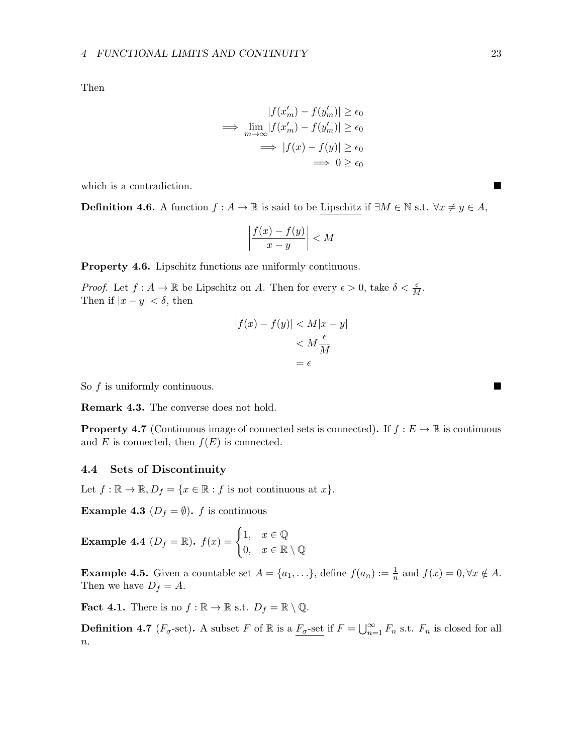Then

$$
|f(x'_m) - f(y'_m)| \ge \epsilon_0
$$
  
\n
$$
\implies \lim_{m \to \infty} |f(x'_m) - f(y'_m)| \ge \epsilon_0
$$
  
\n
$$
\implies |f(x) - f(y)| \ge \epsilon_0
$$
  
\n
$$
\implies 0 \ge \epsilon_0
$$

which is a contradiction.

**Definition 4.6.** A function  $f : A \to \mathbb{R}$  is said to be Lipschitz if  $\exists M \in \mathbb{N}$  s.t.  $\forall x \neq y \in A$ ,

$$
\left|\frac{f(x) - f(y)}{x - y}\right| < M
$$

Property 4.6. Lipschitz functions are uniformly continuous.

*Proof.* Let  $f : A \to \mathbb{R}$  be Lipschitz on A. Then for every  $\epsilon > 0$ , take  $\delta < \frac{\epsilon}{M}$ . Then if  $|x - y| < \delta$ , then

$$
|f(x) - f(y)| < M|x - y|
$$
\n
$$
< M\frac{\epsilon}{M}
$$
\n
$$
= \epsilon
$$

So f is uniformly continuous.

Remark 4.3. The converse does not hold.

**Property 4.7** (Continuous image of connected sets is connected). If  $f : E \to \mathbb{R}$  is continuous and E is connected, then  $f(E)$  is connected.

### <span id="page-22-0"></span>4.4 Sets of Discontinuity

Let  $f : \mathbb{R} \to \mathbb{R}, D_f = \{x \in \mathbb{R} : f \text{ is not continuous at } x\}.$ 

**Example 4.3** ( $D_f = \emptyset$ ). f is continuous

**Example 4.4**  $(D_f = \mathbb{R})$ .  $f(x) = \begin{cases} 1, & x \in \mathbb{Q} \\ 0, & x \in \mathbb{R} \end{cases}$ 0,  $x \in \mathbb{R} \setminus \mathbb{Q}$ 

**Example 4.5.** Given a countable set  $A = \{a_1, \ldots\}$ , define  $f(a_n) := \frac{1}{n}$  and  $f(x) = 0, \forall x \notin A$ . Then we have  $D_f = A$ .

**Fact 4.1.** There is no  $f : \mathbb{R} \to \mathbb{R}$  s.t.  $D_f = \mathbb{R} \setminus \mathbb{Q}$ .

**Definition 4.7**  $(F_{\sigma}$ -set). A subset F of R is a  $\overline{F_{\sigma}}$ -set if  $F = \bigcup_{n=1}^{\infty} F_n$  s.t.  $F_n$  is closed for all  $\overline{n}$ .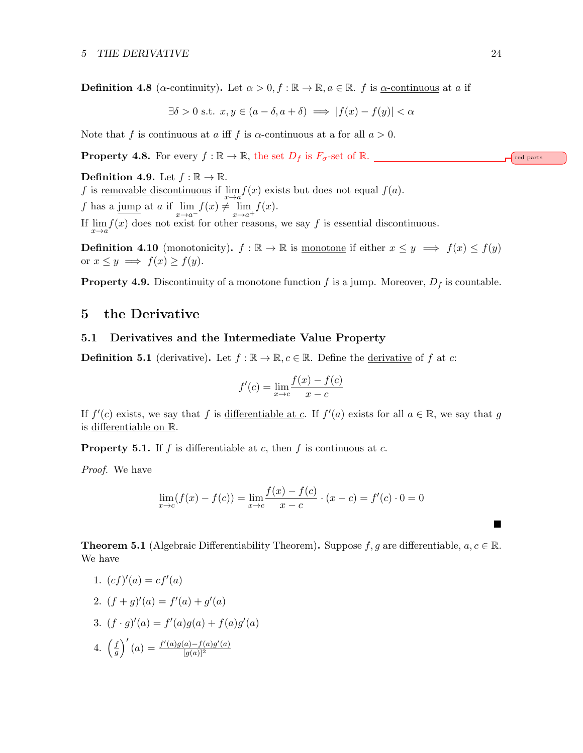**Definition 4.8** ( $\alpha$ -continuity). Let  $\alpha > 0, f : \mathbb{R} \to \mathbb{R}, a \in \mathbb{R}$ . f is  $\alpha$ -continuous at a if

$$
\exists \delta > 0 \text{ s.t. } x, y \in (a - \delta, a + \delta) \implies |f(x) - f(y)| < \alpha
$$

Note that f is continuous at a iff f is  $\alpha$ -continuous at a for all  $a > 0$ .

**Property 4.8.** For every  $f : \mathbb{R} \to \mathbb{R}$ , the set  $D_f$  is  $F_{\sigma}$ -set of  $\mathbb{R}$ .

Definition 4.9. Let  $f : \mathbb{R} \to \mathbb{R}$ .

f is <u>removable discontinuous</u> if  $\lim_{x\to a} f(x)$  exists but does not equal  $f(a)$ .

f has a jump at a if  $\lim_{x \to a^{-}} f(x) \neq \lim_{x \to a^{+}} f(x)$ .

If  $\lim_{x\to a} f(x)$  does not exist for other reasons, we say f is essential discontinuous.

**Definition 4.10** (monotonicity).  $f : \mathbb{R} \to \mathbb{R}$  is monotone if either  $x \leq y \implies f(x) \leq f(y)$ or  $x \leq y \implies f(x) \geq f(y)$ .

**Property 4.9.** Discontinuity of a monotone function f is a jump. Moreover,  $D_f$  is countable.

## <span id="page-23-0"></span>5 the Derivative

#### <span id="page-23-1"></span>5.1 Derivatives and the Intermediate Value Property

**Definition 5.1** (derivative). Let  $f : \mathbb{R} \to \mathbb{R}, c \in \mathbb{R}$ . Define the derivative of f at c:

$$
f'(c) = \lim_{x \to c} \frac{f(x) - f(c)}{x - c}
$$

If  $f'(c)$  exists, we say that f is differentiable at c. If  $f'(a)$  exists for all  $a \in \mathbb{R}$ , we say that g is differentiable on R.

**Property 5.1.** If f is differentiable at c, then f is continuous at c.

Proof. We have

$$
\lim_{x \to c} (f(x) - f(c)) = \lim_{x \to c} \frac{f(x) - f(c)}{x - c} \cdot (x - c) = f'(c) \cdot 0 = 0
$$

**Theorem 5.1** (Algebraic Differentiability Theorem). Suppose f, g are differentiable,  $a, c \in \mathbb{R}$ . We have

$$
1. (cf)'(a) = cf'(a)
$$

2. 
$$
(f+g)'(a) = f'(a) + g'(a)
$$

3.  $(f \cdot g)'(a) = f'(a)g(a) + f(a)g'(a)$ 

4. 
$$
\left(\frac{f}{g}\right)'(a) = \frac{f'(a)g(a) - f(a)g'(a)}{[g(a)]^2}
$$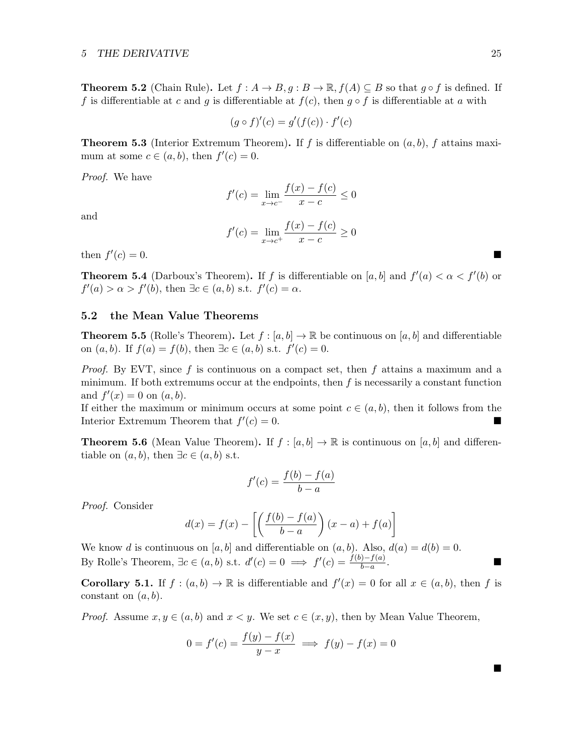**Theorem 5.2** (Chain Rule). Let  $f : A \to B$ ,  $g : B \to \mathbb{R}$ ,  $f(A) \subseteq B$  so that  $g \circ f$  is defined. If f is differentiable at c and g is differentiable at  $f(c)$ , then  $g \circ f$  is differentiable at a with

$$
(g \circ f)'(c) = g'(f(c)) \cdot f'(c)
$$

**Theorem 5.3** (Interior Extremum Theorem). If f is differentiable on  $(a, b)$ , f attains maximum at some  $c \in (a, b)$ , then  $f'(c) = 0$ .

Proof. We have

$$
f'(c) = \lim_{x \to c^{-}} \frac{f(x) - f(c)}{x - c} \le 0
$$

and

$$
f'(c) = \lim_{x \to c^{+}} \frac{f(x) - f(c)}{x - c} \ge 0
$$

then  $f'$  $(c) = 0.$ 

**Theorem 5.4** (Darboux's Theorem). If f is differentiable on [a, b] and  $f'(a) < \alpha < f'(b)$  or  $f'(a) > \alpha > f'(b)$ , then  $\exists c \in (a, b)$  s.t.  $f'(c) = \alpha$ .

#### <span id="page-24-0"></span>5.2 the Mean Value Theorems

**Theorem 5.5** (Rolle's Theorem). Let  $f : [a, b] \to \mathbb{R}$  be continuous on [a, b] and differentiable on  $(a, b)$ . If  $f(a) = f(b)$ , then  $\exists c \in (a, b)$  s.t.  $f'(c) = 0$ .

*Proof.* By EVT, since f is continuous on a compact set, then f attains a maximum and a minimum. If both extremums occur at the endpoints, then  $f$  is necessarily a constant function and  $f'(x) = 0$  on  $(a, b)$ .

If either the maximum or minimum occurs at some point  $c \in (a, b)$ , then it follows from the Interior Extremum Theorem that  $f'(c) = 0$ .

**Theorem 5.6** (Mean Value Theorem). If  $f : [a, b] \to \mathbb{R}$  is continuous on  $[a, b]$  and differentiable on  $(a, b)$ , then  $\exists c \in (a, b)$  s.t.

$$
f'(c) = \frac{f(b) - f(a)}{b - a}
$$

Proof. Consider

$$
d(x) = f(x) - \left[ \left( \frac{f(b) - f(a)}{b - a} \right) (x - a) + f(a) \right]
$$

We know d is continuous on [a, b] and differentiable on  $(a, b)$ . Also,  $d(a) = d(b) = 0$ . By Rolle's Theorem,  $\exists c \in (a, b) \text{ s.t. } d'(c) = 0 \implies f'(c) = \frac{f(b) - f(a)}{b - a}$ .

**Corollary 5.1.** If  $f:(a,b) \to \mathbb{R}$  is differentiable and  $f'(x) = 0$  for all  $x \in (a,b)$ , then f is constant on  $(a, b)$ .

*Proof.* Assume  $x, y \in (a, b)$  and  $x < y$ . We set  $c \in (x, y)$ , then by Mean Value Theorem,

$$
0 = f'(c) = \frac{f(y) - f(x)}{y - x} \implies f(y) - f(x) = 0
$$

ш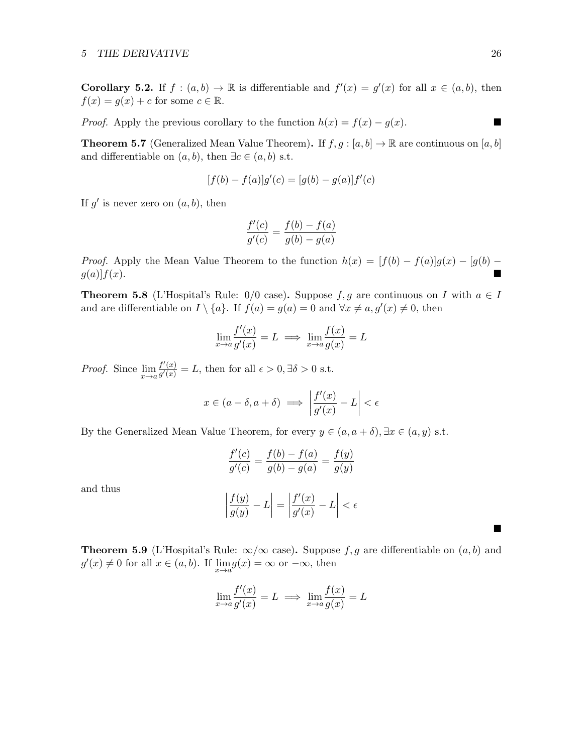**Corollary 5.2.** If  $f:(a,b) \to \mathbb{R}$  is differentiable and  $f'(x) = g'(x)$  for all  $x \in (a,b)$ , then  $f(x) = g(x) + c$  for some  $c \in \mathbb{R}$ .

*Proof.* Apply the previous corollary to the function  $h(x) = f(x) - g(x)$ . ■

**Theorem 5.7** (Generalized Mean Value Theorem). If  $f, g : [a, b] \to \mathbb{R}$  are continuous on  $[a, b]$ and differentiable on  $(a, b)$ , then  $\exists c \in (a, b)$  s.t.

$$
[f(b) - f(a)]g'(c) = [g(b) - g(a)]f'(c)
$$

If  $g'$  is never zero on  $(a, b)$ , then

$$
\frac{f'(c)}{g'(c)} = \frac{f(b) - f(a)}{g(b) - g(a)}
$$

*Proof.* Apply the Mean Value Theorem to the function  $h(x) = [f(b) - f(a)]g(x) - [g(b)$  $g(a)$ f $f(x)$ .

**Theorem 5.8** (L'Hospital's Rule:  $0/0$  case). Suppose  $f, g$  are continuous on I with  $a \in I$ and are differentiable on  $I \setminus \{a\}$ . If  $f(a) = g(a) = 0$  and  $\forall x \neq a, g'(x) \neq 0$ , then

$$
\lim_{x \to a} \frac{f'(x)}{g'(x)} = L \implies \lim_{x \to a} \frac{f(x)}{g(x)} = L
$$

*Proof.* Since  $\lim_{x \to a} \frac{f'(x)}{g'(x)}$  $\frac{f'(x)}{g'(x)} = L$ , then for all  $\epsilon > 0$ ,  $\exists \delta > 0$  s.t.

$$
x \in (a - \delta, a + \delta) \implies \left| \frac{f'(x)}{g'(x)} - L \right| < \epsilon
$$

By the Generalized Mean Value Theorem, for every  $y \in (a, a + \delta), \exists x \in (a, y)$  s.t.

$$
\frac{f'(c)}{g'(c)} = \frac{f(b) - f(a)}{g(b) - g(a)} = \frac{f(y)}{g(y)}
$$

and thus

$$
\left|\frac{f(y)}{g(y)} - L\right| = \left|\frac{f'(x)}{g'(x)} - L\right| < \epsilon
$$

**Theorem 5.9** (L'Hospital's Rule:  $\infty/\infty$  case). Suppose f, g are differentiable on  $(a, b)$  and  $g'(x) \neq 0$  for all  $x \in (a, b)$ . If  $\lim_{x \to a} g(x) = \infty$  or  $-\infty$ , then

$$
\lim_{x \to a} \frac{f'(x)}{g'(x)} = L \implies \lim_{x \to a} \frac{f(x)}{g(x)} = L
$$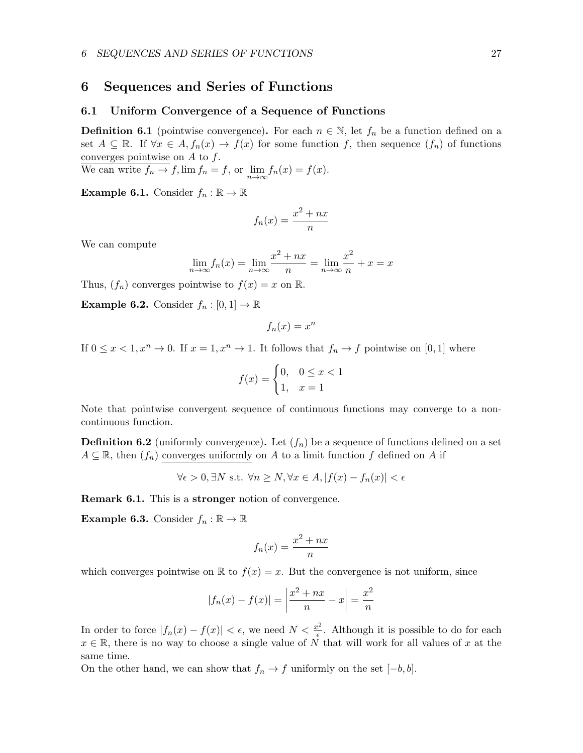## <span id="page-26-0"></span>6 Sequences and Series of Functions

#### <span id="page-26-1"></span>6.1 Uniform Convergence of a Sequence of Functions

**Definition 6.1** (pointwise convergence). For each  $n \in \mathbb{N}$ , let  $f_n$  be a function defined on a set  $A \subseteq \mathbb{R}$ . If  $\forall x \in A, f_n(x) \to f(x)$  for some function f, then sequence  $(f_n)$  of functions converges pointwise on  $A$  to  $f$ .

We can write  $f_n \to f$ ,  $\lim f_n = f$ , or  $\lim_{n \to \infty} f_n(x) = f(x)$ .

**Example 6.1.** Consider  $f_n : \mathbb{R} \to \mathbb{R}$ 

$$
f_n(x) = \frac{x^2 + nx}{n}
$$

We can compute

$$
\lim_{n \to \infty} f_n(x) = \lim_{n \to \infty} \frac{x^2 + nx}{n} = \lim_{n \to \infty} \frac{x^2}{n} + x = x
$$

Thus,  $(f_n)$  converges pointwise to  $f(x) = x$  on R.

**Example 6.2.** Consider  $f_n : [0,1] \to \mathbb{R}$ 

$$
f_n(x) = x^n
$$

If  $0 \leq x < 1, x^n \to 0$ . If  $x = 1, x^n \to 1$ . It follows that  $f_n \to f$  pointwise on [0, 1] where

$$
f(x) = \begin{cases} 0, & 0 \le x < 1 \\ 1, & x = 1 \end{cases}
$$

Note that pointwise convergent sequence of continuous functions may converge to a noncontinuous function.

**Definition 6.2** (uniformly convergence). Let  $(f_n)$  be a sequence of functions defined on a set  $A \subseteq \mathbb{R}$ , then  $(f_n)$  converges uniformly on A to a limit function f defined on A if

$$
\forall \epsilon > 0, \exists N \text{ s.t. } \forall n \ge N, \forall x \in A, |f(x) - f_n(x)| < \epsilon
$$

Remark 6.1. This is a stronger notion of convergence.

**Example 6.3.** Consider  $f_n : \mathbb{R} \to \mathbb{R}$ 

$$
f_n(x) = \frac{x^2 + nx}{n}
$$

which converges pointwise on  $\mathbb R$  to  $f(x) = x$ . But the convergence is not uniform, since

$$
|f_n(x) - f(x)| = \left| \frac{x^2 + nx}{n} - x \right| = \frac{x^2}{n}
$$

In order to force  $|f_n(x) - f(x)| < \epsilon$ , we need  $N < \frac{x^2}{\epsilon}$  $\frac{\partial^2}{\partial \epsilon}$ . Although it is possible to do for each  $x \in \mathbb{R}$ , there is no way to choose a single value of N that will work for all values of x at the same time.

On the other hand, we can show that  $f_n \to f$  uniformly on the set  $[-b, b]$ .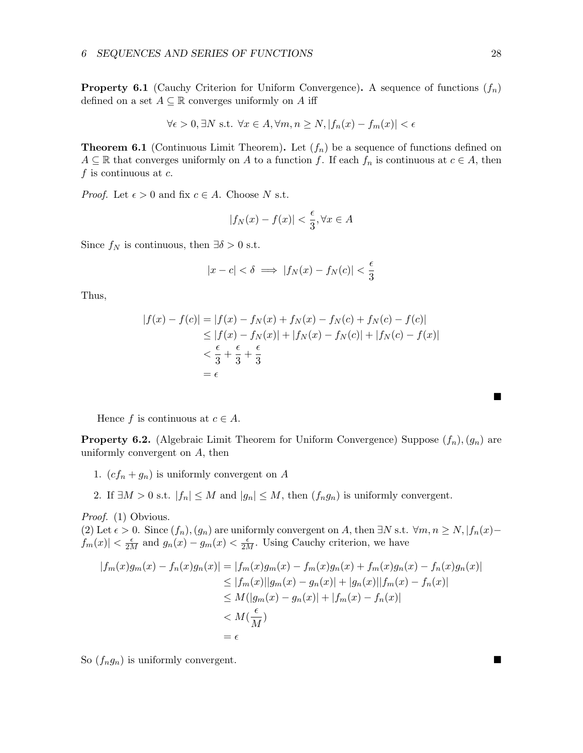**Property 6.1** (Cauchy Criterion for Uniform Convergence). A sequence of functions  $(f_n)$ defined on a set  $A \subseteq \mathbb{R}$  converges uniformly on A iff

$$
\forall \epsilon > 0, \exists N \text{ s.t. } \forall x \in A, \forall m, n \ge N, |f_n(x) - f_m(x)| < \epsilon
$$

<span id="page-27-0"></span>**Theorem 6.1** (Continuous Limit Theorem). Let  $(f_n)$  be a sequence of functions defined on  $A \subseteq \mathbb{R}$  that converges uniformly on A to a function f. If each  $f_n$  is continuous at  $c \in A$ , then  $f$  is continuous at  $c$ .

*Proof.* Let  $\epsilon > 0$  and fix  $c \in A$ . Choose N s.t.

$$
|f_N(x) - f(x)| < \frac{\epsilon}{3}, \forall x \in A
$$

Since  $f_N$  is continuous, then  $\exists \delta > 0$  s.t.

$$
|x - c| < \delta \implies |f_N(x) - f_N(c)| < \frac{\epsilon}{3}
$$

Thus,

$$
|f(x) - f(c)| = |f(x) - f_N(x) + f_N(x) - f_N(c) + f_N(c) - f(c)|
$$
  
\n
$$
\leq |f(x) - f_N(x)| + |f_N(x) - f_N(c)| + |f_N(c) - f(x)|
$$
  
\n
$$
< \frac{\epsilon}{3} + \frac{\epsilon}{3} + \frac{\epsilon}{3}
$$
  
\n
$$
= \epsilon
$$

Hence f is continuous at  $c \in A$ .

**Property 6.2.** (Algebraic Limit Theorem for Uniform Convergence) Suppose  $(f_n), (g_n)$  are uniformly convergent on A, then

- 1.  $(cf_n + g_n)$  is uniformly convergent on A
- 2. If  $\exists M > 0$  s.t.  $|f_n| \leq M$  and  $|g_n| \leq M$ , then  $(f_n g_n)$  is uniformly convergent.

Proof. (1) Obvious.

(2) Let  $\epsilon > 0$ . Since  $(f_n)$ ,  $(g_n)$  are uniformly convergent on A, then  $\exists N$  s.t.  $\forall m, n \ge N, |f_n(x) |f_m(x)| < \frac{\epsilon}{2M}$  and  $g_n(x) - g_m(x) < \frac{\epsilon}{2M}$ . Using Cauchy criterion, we have

$$
|f_m(x)g_m(x) - f_n(x)g_n(x)| = |f_m(x)g_m(x) - f_m(x)g_n(x) + f_m(x)g_n(x) - f_n(x)g_n(x)|
$$
  
\n
$$
\leq |f_m(x)||g_m(x) - g_n(x)| + |g_n(x)||f_m(x) - f_n(x)|
$$
  
\n
$$
\leq M(|g_m(x) - g_n(x)| + |f_m(x) - f_n(x)|)
$$
  
\n
$$
< M(\frac{\epsilon}{M})
$$
  
\n
$$
= \epsilon
$$

So  $(f_n g_n)$  is uniformly convergent.

ш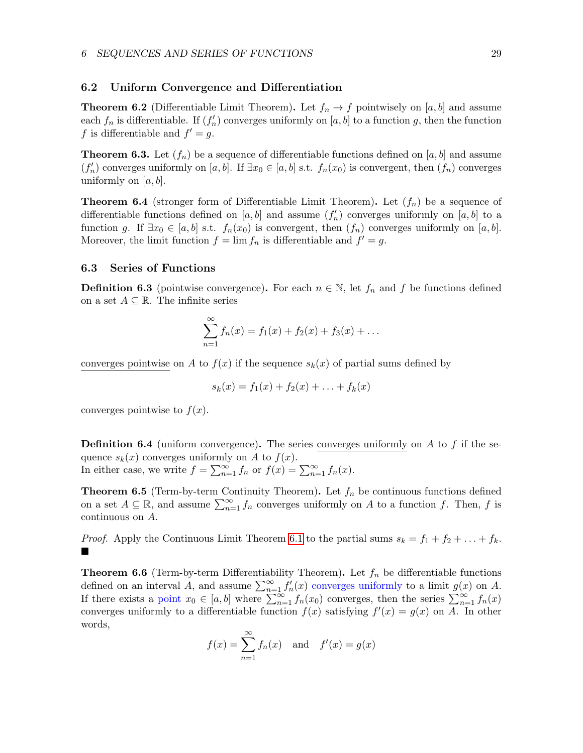#### <span id="page-28-0"></span>6.2 Uniform Convergence and Differentiation

**Theorem 6.2** (Differentiable Limit Theorem). Let  $f_n \to f$  pointwisely on [a, b] and assume each  $f_n$  is differentiable. If  $(f'_n)$  converges uniformly on  $[a, b]$  to a function g, then the function f is differentiable and  $f' = g$ .

**Theorem 6.3.** Let  $(f_n)$  be a sequence of differentiable functions defined on  $[a, b]$  and assume  $(f'_n)$  converges uniformly on [a, b]. If  $\exists x_0 \in [a, b]$  s.t.  $f_n(x_0)$  is convergent, then  $(f_n)$  converges uniformly on  $[a, b]$ .

<span id="page-28-2"></span>**Theorem 6.4** (stronger form of Differentiable Limit Theorem). Let  $(f_n)$  be a sequence of differentiable functions defined on  $[a, b]$  and assume  $(f'_n)$  converges uniformly on  $[a, b]$  to a function g. If  $\exists x_0 \in [a, b]$  s.t.  $f_n(x_0)$  is convergent, then  $(f_n)$  converges uniformly on  $[a, b]$ . Moreover, the limit function  $f = \lim f_n$  is differentiable and  $f' = g$ .

#### <span id="page-28-1"></span>6.3 Series of Functions

**Definition 6.3** (pointwise convergence). For each  $n \in \mathbb{N}$ , let  $f_n$  and f be functions defined on a set  $A \subseteq \mathbb{R}$ . The infinite series

$$
\sum_{n=1}^{\infty} f_n(x) = f_1(x) + f_2(x) + f_3(x) + \dots
$$

converges pointwise on A to  $f(x)$  if the sequence  $s_k(x)$  of partial sums defined by

$$
s_k(x) = f_1(x) + f_2(x) + \ldots + f_k(x)
$$

converges pointwise to  $f(x)$ .

**Definition 6.4** (uniform convergence). The series converges uniformly on A to f if the sequence  $s_k(x)$  converges uniformly on A to  $f(x)$ . In either case, we write  $f = \sum_{n=1}^{\infty} f_n$  or  $f(x) = \sum_{n=1}^{\infty} f_n(x)$ .

**Theorem 6.5** (Term-by-term Continuity Theorem). Let  $f_n$  be continuous functions defined on a set  $A \subseteq \mathbb{R}$ , and assume  $\sum_{n=1}^{\infty} f_n$  converges uniformly on A to a function f. Then, f is continuous on A.

*Proof.* Apply the Continuous Limit Theorem [6.1](#page-27-0) to the partial sums  $s_k = f_1 + f_2 + \ldots + f_k$ .  $\blacksquare$ 

**Theorem 6.6** (Term-by-term Differentiability Theorem). Let  $f_n$  be differentiable functions defined on an interval A, and assume  $\sum_{n=1}^{\infty} f'_n(x)$  converges uniformly to a limit  $g(x)$  on A. If there exists a point  $x_0 \in [a, b]$  where  $\sum_{n=1}^{\infty} f_n(x_0)$  converges, then the series  $\sum_{n=1}^{\infty} f_n(x)$ converges uniformly to a differentiable function  $f(x)$  satisfying  $f'(x) = g(x)$  on A. In other words,

$$
f(x) = \sum_{n=1}^{\infty} f_n(x)
$$
 and  $f'(x) = g(x)$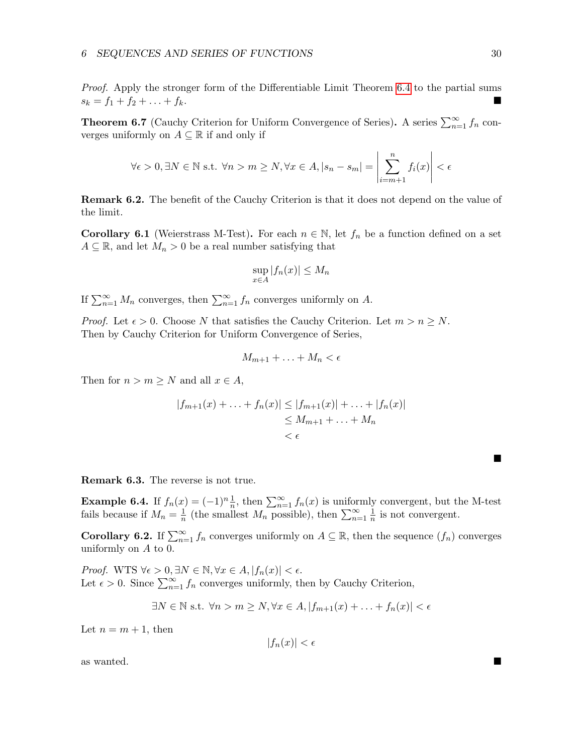Proof. Apply the stronger form of the Differentiable Limit Theorem [6.4](#page-28-2) to the partial sums  $s_k = f_1 + f_2 + \ldots + f_k.$ 

<span id="page-29-1"></span>**Theorem 6.7** (Cauchy Criterion for Uniform Convergence of Series). A series  $\sum_{n=1}^{\infty} f_n$  converges uniformly on  $A \subseteq \mathbb{R}$  if and only if

$$
\forall \epsilon > 0, \exists N \in \mathbb{N} \text{ s.t. } \forall n > m \ge N, \forall x \in A, |s_n - s_m| = \left| \sum_{i=m+1}^n f_i(x) \right| < \epsilon
$$

Remark 6.2. The benefit of the Cauchy Criterion is that it does not depend on the value of the limit.

<span id="page-29-0"></span>**Corollary 6.1** (Weierstrass M-Test). For each  $n \in \mathbb{N}$ , let  $f_n$  be a function defined on a set  $A \subseteq \mathbb{R}$ , and let  $M_n > 0$  be a real number satisfying that

$$
\sup_{x \in A} |f_n(x)| \le M_n
$$

If  $\sum_{n=1}^{\infty} M_n$  converges, then  $\sum_{n=1}^{\infty} f_n$  converges uniformly on A.

*Proof.* Let  $\epsilon > 0$ . Choose N that satisfies the Cauchy Criterion. Let  $m > n \ge N$ . Then by Cauchy Criterion for Uniform Convergence of Series,

$$
M_{m+1} + \ldots + M_n < \epsilon
$$

Then for  $n > m \geq N$  and all  $x \in A$ ,

$$
|f_{m+1}(x) + \ldots + f_n(x)| \le |f_{m+1}(x)| + \ldots + |f_n(x)|
$$
  
\n
$$
\le M_{m+1} + \ldots + M_n
$$
  
\n
$$
< \epsilon
$$

Remark 6.3. The reverse is not true.

**Example 6.4.** If  $f_n(x) = (-1)^n \frac{1}{n}$ , then  $\sum_{n=1}^{\infty} f_n(x)$  is uniformly convergent, but the M-test fails because if  $M_n = \frac{1}{n}$  $\frac{1}{n}$  (the smallest  $M_n$  possible), then  $\sum_{n=1}^{\infty} \frac{1}{n}$  $\frac{1}{n}$  is not convergent.

**Corollary 6.2.** If  $\sum_{n=1}^{\infty} f_n$  converges uniformly on  $A \subseteq \mathbb{R}$ , then the sequence  $(f_n)$  converges uniformly on A to 0.

*Proof.* WTS  $\forall \epsilon > 0, \exists N \in \mathbb{N}, \forall x \in A, |f_n(x)| < \epsilon$ . Let  $\epsilon > 0$ . Since  $\sum_{n=1}^{\infty} f_n$  converges uniformly, then by Cauchy Criterion,

$$
\exists N \in \mathbb{N} \text{ s.t. } \forall n > m \ge N, \forall x \in A, |f_{m+1}(x) + \ldots + f_n(x)| < \epsilon
$$

Let  $n = m + 1$ , then

$$
|f_n(x)| < \epsilon
$$

as wanted.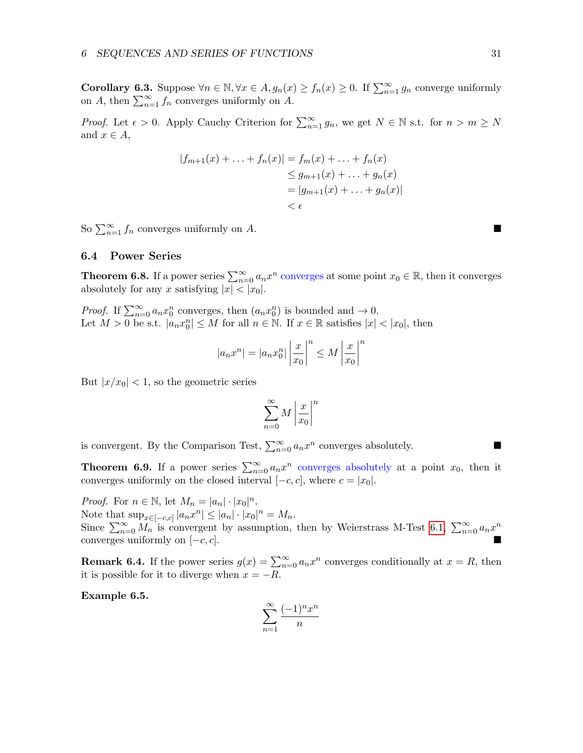Corollary 6.3. Suppose  $\forall n \in \mathbb{N}, \forall x \in A, g_n(x) \geq f_n(x) \geq 0$ . If  $\sum_{n=1}^{\infty} g_n$  converge uniformly on A, then  $\sum_{n=1}^{\infty} f_n$  converges uniformly on A.

*Proof.* Let  $\epsilon > 0$ . Apply Cauchy Criterion for  $\sum_{n=1}^{\infty} g_n$ , we get  $N \in \mathbb{N}$  s.t. for  $n > m \ge N$ and  $x \in A$ ,

$$
|f_{m+1}(x) + \ldots + f_n(x)| = f_m(x) + \ldots + f_n(x)
$$
  
\n
$$
\leq g_{m+1}(x) + \ldots + g_n(x)
$$
  
\n
$$
= |g_{m+1}(x) + \ldots + g_n(x)|
$$
  
\n
$$
< \epsilon
$$

So  $\sum_{n=1}^{\infty} f_n$  converges uniformly on A.

#### <span id="page-30-0"></span>6.4 Power Series

**Theorem 6.8.** If a power series  $\sum_{n=0}^{\infty} a_n x^n$  converges at some point  $x_0 \in \mathbb{R}$ , then it converges absolutely for any x satisfying  $|x| < |x_0|$ .

*Proof.* If  $\sum_{n=0}^{\infty} a_n x_0^n$  converges, then  $(a_n x_0^n)$  is bounded and  $\rightarrow 0$ . Let  $M > 0$  be s.t.  $|a_n x_0^n| \leq M$  for all  $n \in \mathbb{N}$ . If  $x \in \mathbb{R}$  satisfies  $|x| < |x_0|$ , then

$$
|a_n x^n| = |a_n x_0^n| \left| \frac{x}{x_0} \right|^n \le M \left| \frac{x}{x_0} \right|^n
$$

But  $|x/x_0|$  < 1, so the geometric series

$$
\sum_{n=0}^{\infty} M \left| \frac{x}{x_0} \right|^n
$$

is convergent. By the Comparison Test,  $\sum_{n=0}^{\infty} a_n x^n$  converges absolutely.

**Theorem 6.9.** If a power series  $\sum_{n=0}^{\infty} a_n x^n$  converges absolutely at a point  $x_0$ , then it converges uniformly on the closed interval  $[-c, c]$ , where  $c = |x_0|$ .

*Proof.* For  $n \in \mathbb{N}$ , let  $M_n = |a_n| \cdot |x_0|^n$ . Note that  $\sup_{x \in [-c,c]} |a_n x^n| \leq |a_n| \cdot |x_0|^n = M_n$ . Since  $\sum_{n=0}^{\infty} M_n$  is convergent by assumption, then by Weierstrass M-Test [6.1,](#page-29-0)  $\sum_{n=0}^{\infty} a_n x^n$ converges uniformly on  $[-c, c]$ .

**Remark 6.4.** If the power series  $g(x) = \sum_{n=0}^{\infty} a_n x^n$  converges conditionally at  $x = R$ , then it is possible for it to diverge when  $x = -R$ .

Example 6.5.

$$
\sum_{n=1}^{\infty} \frac{(-1)^n x^n}{n}
$$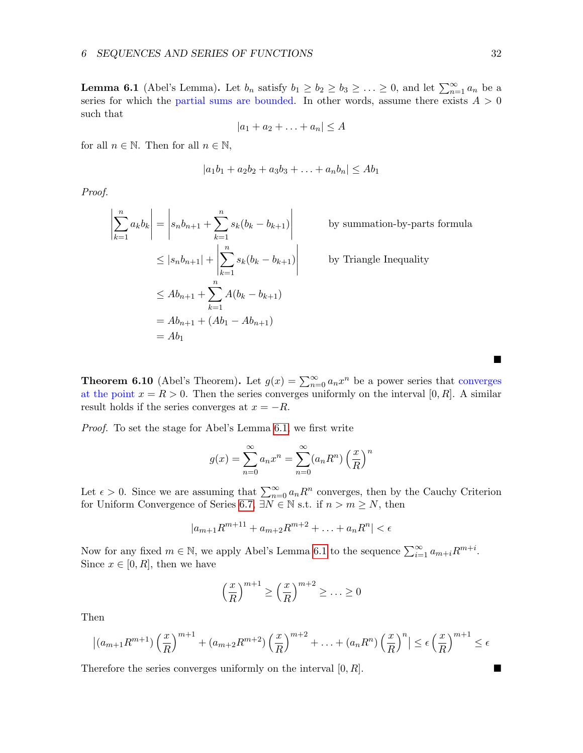<span id="page-31-0"></span>**Lemma 6.1** (Abel's Lemma). Let  $b_n$  satisfy  $b_1 \geq b_2 \geq b_3 \geq \ldots \geq 0$ , and let  $\sum_{n=1}^{\infty} a_n$  be a series for which the partial sums are bounded. In other words, assume there exists  $A > 0$ such that

$$
|a_1 + a_2 + \ldots + a_n| \le A
$$

for all  $n \in \mathbb{N}$ . Then for all  $n \in \mathbb{N}$ ,

$$
|a_1b_1 + a_2b_2 + a_3b_3 + \ldots + a_nb_n| \le Ab_1
$$

Proof.

$$
\left| \sum_{k=1}^{n} a_k b_k \right| = \left| s_n b_{n+1} + \sum_{k=1}^{n} s_k (b_k - b_{k+1}) \right|
$$
 by summation-by-parts formula  
\n
$$
\leq |s_n b_{n+1}| + \left| \sum_{k=1}^{n} s_k (b_k - b_{k+1}) \right|
$$
 by Triangle Inequality  
\n
$$
\leq Ab_{n+1} + \sum_{k=1}^{n} A(b_k - b_{k+1})
$$
  
\n
$$
= Ab_{n+1} + (Ab_1 - Ab_{n+1})
$$
  
\n
$$
= Ab_1
$$

**Theorem 6.10** (Abel's Theorem). Let  $g(x) = \sum_{n=0}^{\infty} a_n x^n$  be a power series that converges at the point  $x = R > 0$ . Then the series converges uniformly on the interval [0, R]. A similar result holds if the series converges at  $x = -R$ .

Proof. To set the stage for Abel's Lemma [6.1,](#page-31-0) we first write

$$
g(x) = \sum_{n=0}^{\infty} a_n x^n = \sum_{n=0}^{\infty} (a_n R^n) \left(\frac{x}{R}\right)^n
$$

Let  $\epsilon > 0$ . Since we are assuming that  $\sum_{n=0}^{\infty} a_n R^n$  converges, then by the Cauchy Criterion for Uniform Convergence of Series [6.7,](#page-29-1)  $\exists N \in \mathbb{N}$  s.t. if  $n > m \ge N$ , then

$$
|a_{m+1}R^{m+11} + a_{m+2}R^{m+2} + \ldots + a_nR^n| < \epsilon
$$

Now for any fixed  $m \in \mathbb{N}$ , we apply Abel's Lemma [6.1](#page-31-0) to the sequence  $\sum_{i=1}^{\infty} a_{m+i}R^{m+i}$ . Since  $x \in [0, R]$ , then we have

$$
\left(\frac{x}{R}\right)^{m+1} \ge \left(\frac{x}{R}\right)^{m+2} \ge \ldots \ge 0
$$

Then

$$
|(a_{m+1}R^{m+1})\left(\frac{x}{R}\right)^{m+1} + (a_{m+2}R^{m+2})\left(\frac{x}{R}\right)^{m+2} + \ldots + (a_nR^n)\left(\frac{x}{R}\right)^n| \leq \epsilon \left(\frac{x}{R}\right)^{m+1} \leq \epsilon
$$

Therefore the series converges uniformly on the interval  $[0, R]$ .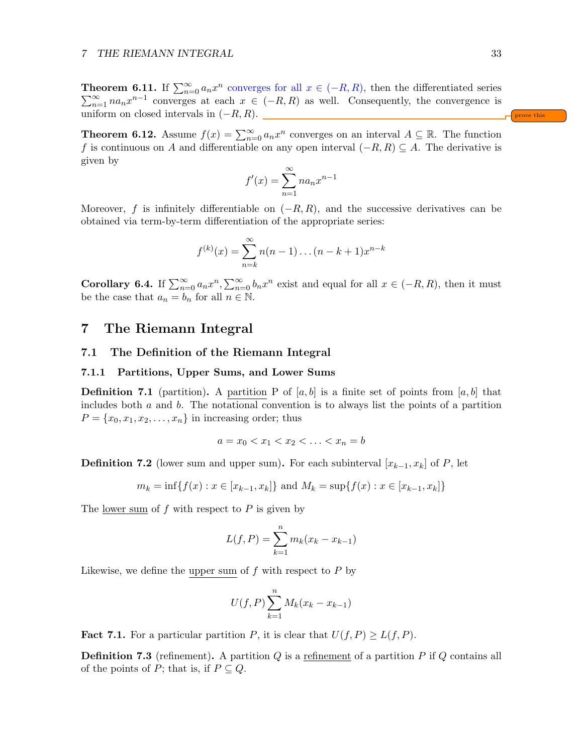**Theorem 6.11.** If  $\sum_{n=0}^{\infty} a_n x^n$  converges for all  $x \in (-R, R)$ , then the differentiated series  $\sum_{n=1}^{\infty}$  na<sub>n</sub> $x^{n-1}$  converges at each  $x \in (-R, R)$  as well. Consequently, the convergence is uniform on closed intervals in  $(-R, R)$ .

**Theorem 6.12.** Assume  $f(x) = \sum_{n=0}^{\infty} a_n x^n$  converges on an interval  $A \subseteq \mathbb{R}$ . The function f is continuous on A and differentiable on any open interval  $(-R, R) \subseteq A$ . The derivative is given by

$$
f'(x) = \sum_{n=1}^{\infty} n a_n x^{n-1}
$$

Moreover, f is infinitely differentiable on  $(-R, R)$ , and the successive derivatives can be obtained via term-by-term differentiation of the appropriate series:

$$
f^{(k)}(x) = \sum_{n=k}^{\infty} n(n-1)\dots(n-k+1)x^{n-k}
$$

**Corollary 6.4.** If  $\sum_{n=0}^{\infty} a_n x^n$ ,  $\sum_{n=0}^{\infty} b_n x^n$  exist and equal for all  $x \in (-R, R)$ , then it must be the case that  $a_n = b_n$  for all  $n \in \mathbb{N}$ .

## <span id="page-32-0"></span>7 The Riemann Integral

#### <span id="page-32-1"></span>7.1 The Definition of the Riemann Integral

#### <span id="page-32-2"></span>7.1.1 Partitions, Upper Sums, and Lower Sums

**Definition 7.1** (partition). A partition P of  $[a, b]$  is a finite set of points from  $[a, b]$  that includes both  $a$  and  $b$ . The notational convention is to always list the points of a partition  $P = \{x_0, x_1, x_2, \ldots, x_n\}$  in increasing order; thus

$$
a = x_0 < x_1 < x_2 < \ldots < x_n = b
$$

**Definition 7.2** (lower sum and upper sum). For each subinterval  $[x_{k-1}, x_k]$  of P, let

$$
m_k = \inf\{f(x) : x \in [x_{k-1}, x_k]\}\
$$
and  $M_k = \sup\{f(x) : x \in [x_{k-1}, x_k]\}\$ 

The lower sum of  $f$  with respect to  $P$  is given by

$$
L(f, P) = \sum_{k=1}^{n} m_k (x_k - x_{k-1})
$$

Likewise, we define the upper sum of  $f$  with respect to  $P$  by

$$
U(f, P) \sum_{k=1}^{n} M_k (x_k - x_{k-1})
$$

**Fact 7.1.** For a particular partition P, it is clear that  $U(f, P) \geq L(f, P)$ .

**Definition 7.3** (refinement). A partition  $Q$  is a refinement of a partition  $P$  if  $Q$  contains all of the points of P; that is, if  $P \subseteq Q$ .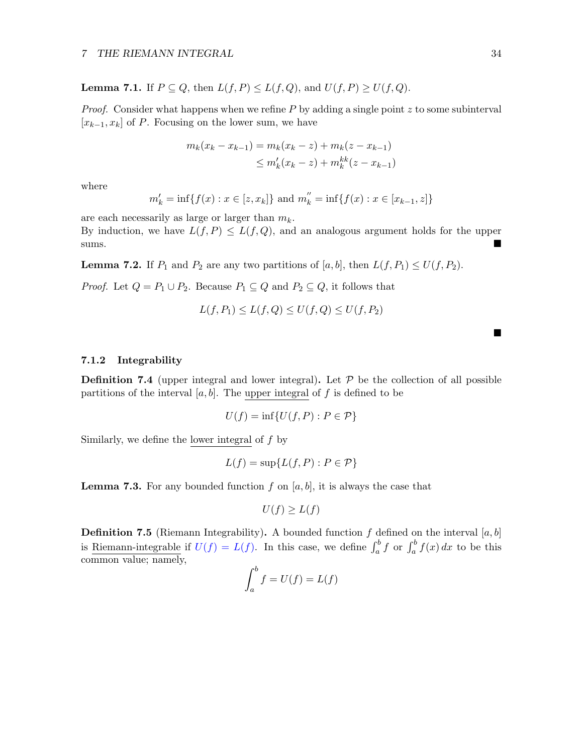**Lemma 7.1.** If  $P \subseteq Q$ , then  $L(f, P) \le L(f, Q)$ , and  $U(f, P) \ge U(f, Q)$ .

*Proof.* Consider what happens when we refine  $P$  by adding a single point  $z$  to some subinterval  $[x_{k-1}, x_k]$  of P. Focusing on the lower sum, we have

$$
m_k(x_k - x_{k-1}) = m_k(x_k - z) + m_k(z - x_{k-1})
$$
  
\n
$$
\leq m'_k(x_k - z) + m_k^{kk}(z - x_{k-1})
$$

where

$$
m'_{k}
$$
 = inf{ $f(x) : x \in [z, x_{k}]$ } and  $m''_{k}$  = inf{ $f(x) : x \in [x_{k-1}, z]$ }

are each necessarily as large or larger than  $m_k$ .

By induction, we have  $L(f, P) \leq L(f, Q)$ , and an analogous argument holds for the upper sums.

**Lemma 7.2.** If  $P_1$  and  $P_2$  are any two partitions of  $[a, b]$ , then  $L(f, P_1) \leq U(f, P_2)$ .

*Proof.* Let  $Q = P_1 \cup P_2$ . Because  $P_1 \subseteq Q$  and  $P_2 \subseteq Q$ , it follows that

$$
L(f, P_1) \le L(f, Q) \le U(f, Q) \le U(f, P_2)
$$

#### <span id="page-33-0"></span>7.1.2 Integrability

**Definition 7.4** (upper integral and lower integral). Let  $P$  be the collection of all possible partitions of the interval  $[a, b]$ . The upper integral of f is defined to be

$$
U(f) = \inf\{U(f, P) : P \in \mathcal{P}\}\
$$

Similarly, we define the lower integral of  $f$  by

$$
L(f) = \sup \{ L(f, P) : P \in \mathcal{P} \}
$$

**Lemma 7.3.** For any bounded function f on  $[a, b]$ , it is always the case that

$$
U(f) \ge L(f)
$$

**Definition 7.5** (Riemann Integrability). A bounded function f defined on the interval  $[a, b]$ is <u>Riemann-integrable</u> if  $U(f) = L(f)$ . In this case, we define  $\int_a^b f(x) dx$  to be this common value; namely,

$$
\int_a^b f = U(f) = L(f)
$$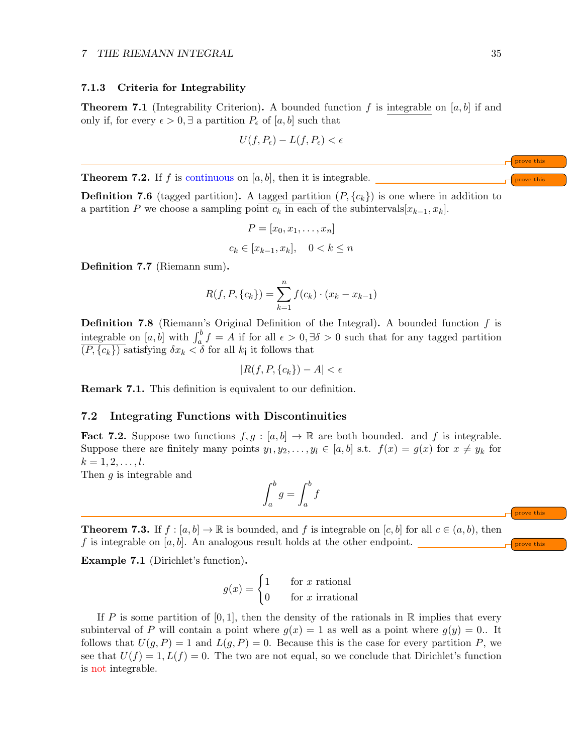#### <span id="page-34-0"></span>7.1.3 Criteria for Integrability

**Theorem 7.1** (Integrability Criterion). A bounded function f is integrable on [a, b] if and only if, for every  $\epsilon > 0$ , ∃ a partition  $P_{\epsilon}$  of [a, b] such that

$$
U(f, P_{\epsilon}) - L(f, P_{\epsilon}) < \epsilon
$$

**Theorem 7.2.** If f is continuous on  $[a, b]$ , then it is integrable.

**Definition 7.6** (tagged partition). A tagged partition  $(P, \{c_k\})$  is one where in addition to a partition P we choose a sampling point  $c_k$  in each of the subintervals $[x_{k-1}, x_k]$ .

$$
P = [x_0, x_1, \dots, x_n]
$$
  

$$
c_k \in [x_{k-1}, x_k], \quad 0 < k \le n
$$

Definition 7.7 (Riemann sum).

$$
R(f, P, \{c_k\}) = \sum_{k=1}^{n} f(c_k) \cdot (x_k - x_{k-1})
$$

**Definition 7.8** (Riemann's Original Definition of the Integral). A bounded function  $f$  is integrable on [a, b] with  $\int_a^b f = A$  if for all  $\epsilon > 0$ ,  $\exists \delta > 0$  such that for any tagged partition  $(P, \{c_k\})$  satisfying  $\delta x_k < \delta$  for all k<sub>i</sub> it follows that

$$
|R(f, P, \{c_k\}) - A| < \epsilon
$$

Remark 7.1. This definition is equivalent to our definition.

#### <span id="page-34-1"></span>7.2 Integrating Functions with Discontinuities

**Fact 7.2.** Suppose two functions  $f, g : [a, b] \to \mathbb{R}$  are both bounded. and f is integrable. Suppose there are finitely many points  $y_1, y_2, \ldots, y_l \in [a, b]$  s.t.  $f(x) = g(x)$  for  $x \neq y_k$  for  $k = 1, 2, \ldots, l.$ 

Then g is integrable and

$$
\int_{a}^{b} g = \int_{a}^{b} f
$$

**Theorem 7.3.** If  $f : [a, b] \to \mathbb{R}$  is bounded, and f is integrable on  $[c, b]$  for all  $c \in (a, b)$ , then f is integrable on  $[a, b]$ . An analogous result holds at the other endpoint.

Example 7.1 (Dirichlet's function).

 $g(x) = \begin{cases} 1 & \text{for } x \text{ rational} \\ 0 & \text{otherwise} \end{cases}$ 0 for  $x$  irrational

If P is some partition of [0, 1], then the density of the rationals in R implies that every subinterval of P will contain a point where  $q(x) = 1$  as well as a point where  $q(y) = 0$ . It follows that  $U(g, P) = 1$  and  $L(g, P) = 0$ . Because this is the case for every partition P, we see that  $U(f) = 1, L(f) = 0$ . The two are not equal, so we conclude that Dirichlet's function is not integrable.

prove this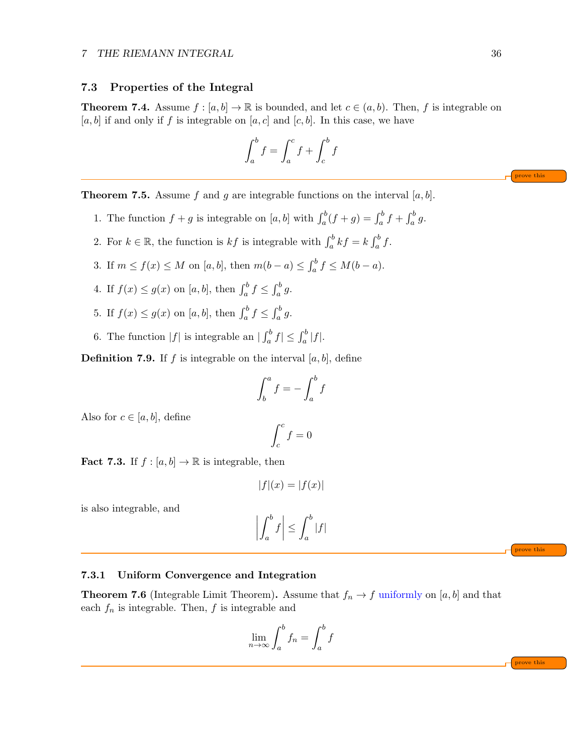#### <span id="page-35-0"></span>7.3 Properties of the Integral

**Theorem 7.4.** Assume  $f : [a, b] \to \mathbb{R}$  is bounded, and let  $c \in (a, b)$ . Then, f is integrable on [a, b] if and only if f is integrable on [a, c] and [c, b]. In this case, we have

$$
\int_a^b f = \int_a^c f + \int_c^b f
$$

**Theorem 7.5.** Assume f and g are integrable functions on the interval [a, b].

- 1. The function  $f + g$  is integrable on  $[a, b]$  with  $\int_a^b (f + g) = \int_a^b f + \int_a^b g$ .
- 2. For  $k \in \mathbb{R}$ , the function is  $kf$  is integrable with  $\int_a^b kf = k \int_a^b f$ .
- 3. If  $m \le f(x) \le M$  on  $[a, b]$ , then  $m(b a) \le \int_a^b f \le M(b a)$ .
- 4. If  $f(x) \le g(x)$  on  $[a, b]$ , then  $\int_a^b f \le \int_a^b g$ .
- 5. If  $f(x) \le g(x)$  on  $[a, b]$ , then  $\int_a^b f \le \int_a^b g$ .
- 6. The function  $|f|$  is integrable an  $|\int_a^b f| \leq \int_a^b |f|$ .

**Definition 7.9.** If f is integrable on the interval  $[a, b]$ , define

$$
\int_b^a f = -\int_a^b f
$$

Also for  $c \in [a, b]$ , define

$$
\int_c^c f = 0
$$

**Fact 7.3.** If  $f : [a, b] \to \mathbb{R}$  is integrable, then

$$
|f|(x) = |f(x)|
$$

is also integrable, and

$$
\left| \int_{a}^{b} f \right| \leq \int_{a}^{b} |f|
$$

<span id="page-35-1"></span>7.3.1 Uniform Convergence and Integration

**Theorem 7.6** (Integrable Limit Theorem). Assume that  $f_n \to f$  uniformly on [a, b] and that each  $f_n$  is integrable. Then,  $f$  is integrable and

$$
\lim_{n \to \infty} \int_{a}^{b} f_n = \int_{a}^{b} f
$$

prove this

prove this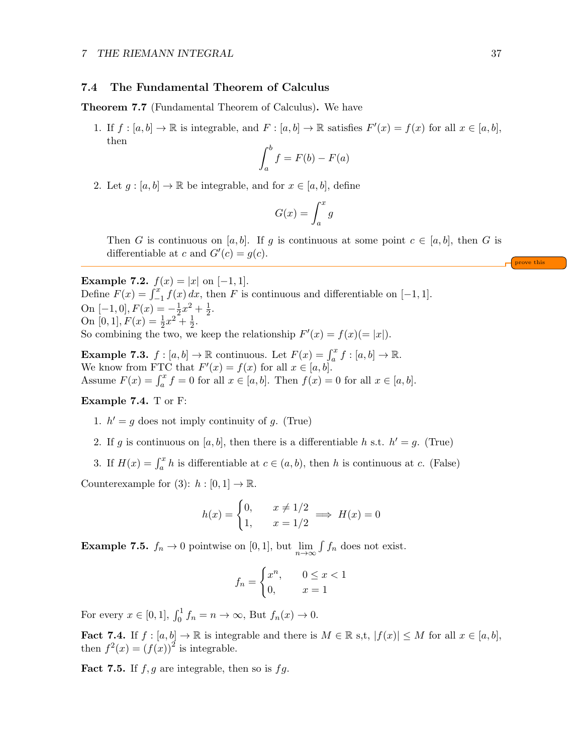#### <span id="page-36-0"></span>7.4 The Fundamental Theorem of Calculus

Theorem 7.7 (Fundamental Theorem of Calculus). We have

1. If  $f : [a, b] \to \mathbb{R}$  is integrable, and  $F : [a, b] \to \mathbb{R}$  satisfies  $F'(x) = f(x)$  for all  $x \in [a, b]$ , then

$$
\int_a^b f = F(b) - F(a)
$$

2. Let  $g : [a, b] \to \mathbb{R}$  be integrable, and for  $x \in [a, b]$ , define

$$
G(x) = \int_{a}^{x} g
$$

Then G is continuous on [a, b]. If g is continuous at some point  $c \in [a, b]$ , then G is differentiable at c and  $G'(c) = g(c)$ .

**Example 7.2.**  $f(x) = |x|$  on  $[-1, 1]$ . Define  $F(x) = \int_{-1}^{x} f(x) dx$ , then F is continuous and differentiable on [-1, 1]. On [-1, 0],  $F(x) = -\frac{1}{2}$  $rac{1}{2}x^2 + \frac{1}{2}$  $\frac{1}{2}$ . On [0, 1],  $F(x) = \frac{1}{2}x^2 + \frac{1}{2}$  $\frac{1}{2}$ . So combining the two, we keep the relationship  $F'(x) = f(x)(= |x|)$ .

**Example 7.3.**  $f : [a, b] \to \mathbb{R}$  continuous. Let  $F(x) = \int_a^x f : [a, b] \to \mathbb{R}$ . We know from FTC that  $F'(x) = f(x)$  for all  $x \in [a, b]$ . Assume  $F(x) = \int_a^x f = 0$  for all  $x \in [a, b]$ . Then  $f(x) = 0$  for all  $x \in [a, b]$ .

#### Example 7.4. T or F:

- 1.  $h' = g$  does not imply continuity of g. (True)
- 2. If g is continuous on [a, b], then there is a differentiable h s.t.  $h' = g$ . (True)
- 3. If  $H(x) = \int_a^x h$  is differentiable at  $c \in (a, b)$ , then h is continuous at c. (False)

Counterexample for  $(3)$ :  $h : [0, 1] \rightarrow \mathbb{R}$ .

$$
h(x) = \begin{cases} 0, & x \neq 1/2 \\ 1, & x = 1/2 \end{cases} \implies H(x) = 0
$$

**Example 7.5.**  $f_n \to 0$  pointwise on [0, 1], but  $\lim_{n \to \infty} \int f_n$  does not exist.

$$
f_n = \begin{cases} x^n, & 0 \le x < 1 \\ 0, & x = 1 \end{cases}
$$

For every  $x \in [0,1]$ ,  $\int_0^1 f_n = n \to \infty$ , But  $f_n(x) \to 0$ .

**Fact 7.4.** If  $f : [a, b] \to \mathbb{R}$  is integrable and there is  $M \in \mathbb{R}$  s,t,  $|f(x)| \leq M$  for all  $x \in [a, b]$ , then  $f^{2}(x) = (f(x))^{2}$  is integrable.

**Fact 7.5.** If  $f, g$  are integrable, then so is  $fg$ .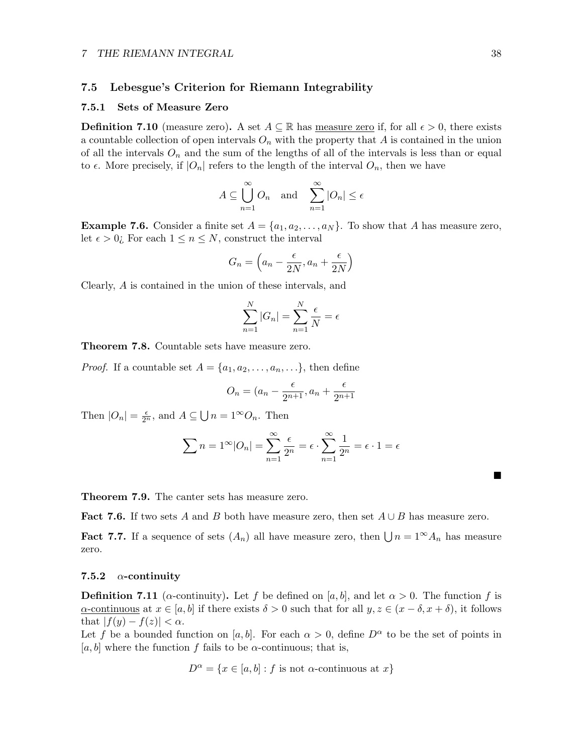#### <span id="page-37-0"></span>7.5 Lebesgue's Criterion for Riemann Integrability

#### <span id="page-37-1"></span>7.5.1 Sets of Measure Zero

**Definition 7.10** (measure zero). A set  $A \subseteq \mathbb{R}$  has measure zero if, for all  $\epsilon > 0$ , there exists a countable collection of open intervals  $O_n$  with the property that A is contained in the union of all the intervals  $O_n$  and the sum of the lengths of all of the intervals is less than or equal to  $\epsilon$ . More precisely, if  $|O_n|$  refers to the length of the interval  $O_n$ , then we have

$$
A \subseteq \bigcup_{n=1}^{\infty} O_n \quad \text{and} \quad \sum_{n=1}^{\infty} |O_n| \le \epsilon
$$

**Example 7.6.** Consider a finite set  $A = \{a_1, a_2, \ldots, a_N\}$ . To show that A has measure zero, let  $\epsilon > 0$ ; For each  $1 \leq n \leq N$ , construct the interval

$$
G_n = \left(a_n - \frac{\epsilon}{2N}, a_n + \frac{\epsilon}{2N}\right)
$$

Clearly, A is contained in the union of these intervals, and

$$
\sum_{n=1}^{N} |G_n| = \sum_{n=1}^{N} \frac{\epsilon}{N} = \epsilon
$$

Theorem 7.8. Countable sets have measure zero.

*Proof.* If a countable set  $A = \{a_1, a_2, \ldots, a_n, \ldots\}$ , then define

$$
O_n = (a_n - \frac{\epsilon}{2^{n+1}}, a_n + \frac{\epsilon}{2^{n+1}}
$$

Then  $|O_n| = \frac{\epsilon}{2^n}$ , and  $A \subseteq \bigcup n = 1^{\infty}O_n$ . Then

$$
\sum n = 1^{\infty} |O_n| = \sum_{n=1}^{\infty} \frac{\epsilon}{2^n} = \epsilon \cdot \sum_{n=1}^{\infty} \frac{1}{2^n} = \epsilon \cdot 1 = \epsilon
$$

Theorem 7.9. The canter sets has measure zero.

Fact 7.6. If two sets A and B both have measure zero, then set  $A \cup B$  has measure zero.

**Fact 7.7.** If a sequence of sets  $(A_n)$  all have measure zero, then  $\bigcup n = 1^\infty A_n$  has measure zero.

#### <span id="page-37-2"></span>7.5.2  $\alpha$ -continuity

**Definition 7.11** ( $\alpha$ -continuity). Let f be defined on [a, b], and let  $\alpha > 0$ . The function f is  $\alpha$ -continuous at  $x \in [a, b]$  if there exists  $\delta > 0$  such that for all  $y, z \in (x - \delta, x + \delta)$ , it follows that  $|f(y) - f(z)| < \alpha$ .

Let f be a bounded function on [a, b]. For each  $\alpha > 0$ , define  $D^{\alpha}$  to be the set of points in [a, b] where the function f fails to be  $\alpha$ -continuous; that is,

$$
D^{\alpha} = \{x \in [a, b] : f \text{ is not } \alpha\text{-continuous at } x\}
$$